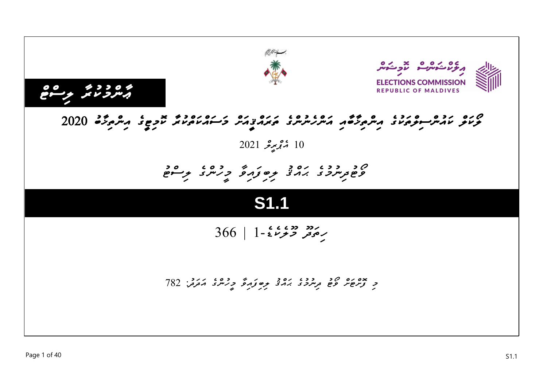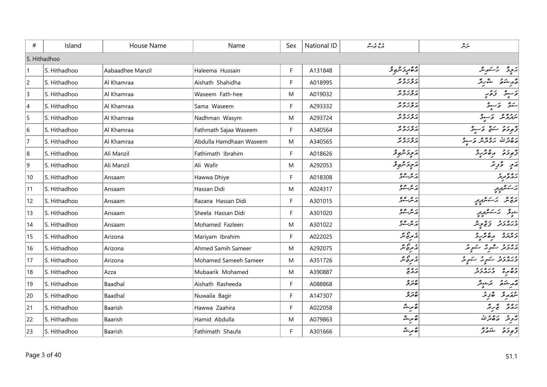| #              | Island       | House Name       | Name                    | Sex | National ID | ، ه ، بر <u>م</u>                  | ىئرىتر                             |
|----------------|--------------|------------------|-------------------------|-----|-------------|------------------------------------|------------------------------------|
|                | S. Hithadhoo |                  |                         |     |             |                                    |                                    |
|                | S. Hithadhoo | Aabaadhee Manzil | Haleema Hussain         | F   | A131848     | ئەھمەرچە ئىرى ئى                   | يَجِعُ يُرْسَمْرِسْ                |
| $\overline{c}$ | S. Hithadhoo | Al Khamraa       | Aishath Shahidha        | F   | A018995     | پە ۋرە بۇ                          | و<br>ويرجع جو فر                   |
| $\mathsf{3}$   | S. Hithadhoo | Al Khamraa       | Waseem Fath-hee         | M   | A019032     | پە ۋرە بۇ                          | ۇسوۋە ئەۋر                         |
| 4              | S. Hithadhoo | Al Khamraa       | Sama Waseem             | F   | A293332     | ر ە رە بۇ<br>مەنزىرىتر             | $\frac{1}{2}$                      |
| 5              | S. Hithadhoo | Al Khamraa       | Nadhman Wasym           | M   | A293724     | ر ە رە بۇ<br>مەنزىرىتر             | برووه كالبادق                      |
| $\,$ 6         | S. Hithadhoo | Al Khamraa       | Fathmath Sajaa Waseem   | F   | A340564     | بر و بر ه پژ                       | وٌجودَمُ سَبَعٌ وَسِيرٌ            |
| $\overline{7}$ | S. Hithadhoo | Al Khamraa       | Abdulla Hamdhaan Waseem | M   | A340565     | رە رە بۇ                           | رە دالله برو دە كەسود              |
| 8              | S. Hithadhoo | Ali Manzil       | Fathimath Ibrahim       | F   | A018626     | ئەبەيە ئەسىمى ئە                   |                                    |
| 9              | S. Hithadhoo | Ali Manzil       | Ali Wafir               | M   | A292053     | ړ <i>. پ</i> رو ش <sub>م</sub> و و | ديا وتولا                          |
| $10$           | S. Hithadhoo | Ansaam           | Hawwa Dhiye             | F   | A018308     | ىر مەر مەھ                         | بەدە ئېرىژ                         |
| 11             | S. Hithadhoo | Ansaam           | Hassan Didi             | M   | A024317     | ىر مەرمىسى <i> ب</i>               | ئەسەئىرى <i>ر</i>                  |
| 12             | S. Hithadhoo | Ansaam           | Razana Hassan Didi      | F.  | A301015     | ىر مەرمىسى <i> ب</i>               | ر پر بر<br>برج مگر بر کے مگرموں    |
| 13             | S. Hithadhoo | Ansaam           | Sheela Hassan Didi      | F   | A301020     | ىر مەر مەھ                         | شوقى كەككەنلەر<br>ئارىخى كەككەنلەر |
| 14             | S. Hithadhoo | Ansaam           | Mohamed Fazleen         | M   | A301022     | ىر مەر مەھ                         |                                    |
| 15             | S. Hithadhoo | Arizona          | Mariyam Ibrahim         | F   | A022025     | ې مرچ متر<br>مرغب                  | גפנס השתניב                        |
| 16             | S. Hithadhoo | Arizona          | Ahmed Samih Sameer      | M   | A292075     | وممرتج يثر                         | ړه د د کرد کرد چ                   |
| 17             | S. Hithadhoo | Arizona          | Mohamed Sameeh Sameer   | M   | A351726     | ە بىرى مىگە<br>مەسرىي مىگە         | ورەرو سورژ سورژ                    |
| 18             | S. Hithadhoo | Azza             | Mubaarik Mohamed        | M   | A390887     | رەپچ                               | כשינו כנסנכ<br>כשינו כגובנג        |
| 19             | S. Hithadhoo | Baadhal          | Aishath Rasheeda        | F   | A088868     | ەر ە<br>ھەرن                       | و ديده<br>مارستونو مرسوند          |
| 20             | S. Hithadhoo | Baadhal          | Nuwaila Bagir           | F   | A147307     | ەر ە<br>ھەرن                       | متعكر قمح تحتجم                    |
| 21             | S. Hithadhoo | Baarish          | Hawwa Zaahira           | F   | A022058     | ځمېرىشە                            | برە ئەرىتە                         |
| 22             | S. Hithadhoo | Baarish          | Hamid Abdulla           | M   | A079863     | ۇ ئىرىشە<br>                       | أشحر قمة متعالله                   |
| 23             | S. Hithadhoo | Baarish          | Fathimath Shaufa        | F.  | A301666     | ە ئىمرىشە<br>م                     | و د د دو                           |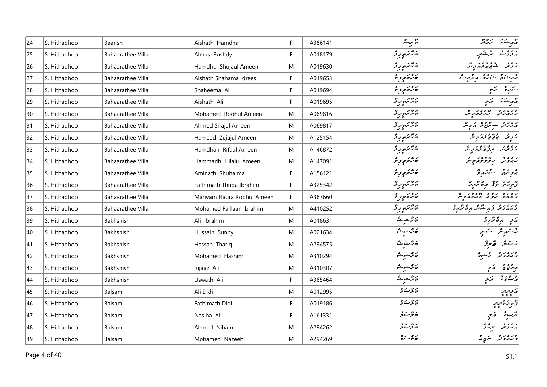| 24 | S. Hithadhoo | Baarish                  | Aishath Hamdha             | F  | A386141 | ځ <sub>مر</sub> يثه<br>م | أشهر شده روم                                                              |
|----|--------------|--------------------------|----------------------------|----|---------|--------------------------|---------------------------------------------------------------------------|
| 25 | S. Hithadhoo | <b>Bahaarathee Villa</b> | Almas Rushdy               | F. | A018179 | <br> خەتئە ئىرموغە ئىر   | رەپ رىشور                                                                 |
| 26 | S. Hithadhoo | <b>Bahaarathee Villa</b> | Hamdhu Shujaul Ameen       | M  | A019630 | <br>  قۇتمۇمۇمۇ          | رە د بەدەرە بەر<br>بەدىر شەن <i>ج مەخ</i> مەر                             |
| 27 | S. Hithadhoo | <b>Bahaarathee Villa</b> | Aishath Shahama Idrees     | F  | A019653 | <br>  قائەتمۇھ بورىگە    | ە<br>مەرشىمى شىرىق مەمىرىيەت                                              |
| 28 | S. Hithadhoo | Bahaarathee Villa        | Shaheema Ali               | F  | A019694 | ە ئەبر <sub>ە بو</sub> ر | لمنزلة الأمج                                                              |
| 29 | S. Hithadhoo | <b>Bahaarathee Villa</b> | Aishath Ali                | F  | A019695 | ە ئەبرە <sub>ب</sub> ورۇ | مأمر شكوح أمكم                                                            |
| 30 | S. Hithadhoo | Bahaarathee Villa        | Mohamed Roohul Ameen       | M  | A069816 | ئەتئە ئەھ بۇ             | כנסגב מכסגם<br>בגתכת הגיבתקית                                             |
| 31 | S. Hithadhoo | <b>Bahaarathee Villa</b> | Ahmed Sirajul Ameen        | M  | A069817 | ە ئەبزە جەڭر             | ړه رو سربروه رکړمر                                                        |
| 32 | S. Hithadhoo | <b>Bahaarathee Villa</b> | Hameed Zujajul Ameen       | M  | A125154 | ئەتئە ئەھ بۇ             | بروتر به موجود و مر                                                       |
| 33 | S. Hithadhoo | <b>Bahaarathee Villa</b> | Hamdhan Rifaul Ameen       | M  | A146872 | ئەنئە ئەربۇ              | גפנציג <sub>מש</sub> נגלקית                                               |
| 34 | S. Hithadhoo | <b>Bahaarathee Villa</b> | Hammadh Hilalul Ameen      | M  | A147091 | ئەتەئىرو بۇ              |                                                                           |
| 35 | S. Hithadhoo | <b>Bahaarathee Villa</b> | Aminath Shuhaima           | F  | A156121 | ە ئەبرە و ۋ              | شەركەر ئ<br>أرمز                                                          |
| 36 | S. Hithadhoo | <b>Bahaarathee Villa</b> | Fathimath Thuqa Ibrahim    | F  | A325342 | ئەتئە ئەرى <i>گە</i>     | ژُورو وژ رهگرد                                                            |
| 37 | S. Hithadhoo | Bahaarathee Villa        | Mariyam Haura Roohul Ameen | F  | A387660 | <br>  قەتئە ئەمرىم       | ג סגם גם 4 בכפר ב<br>ב <i>א</i> ו <i>עב</i> גם <i>א</i> ג <i>צ</i> ולב יע |
| 38 | S. Hithadhoo | <b>Bahaarathee Villa</b> | Mohamed Faillaan Ibrahim   | M  | A410252 | ە ئەبرە وېڅر             | ورەرو زړيئىر رەپزرە                                                       |
| 39 | S. Hithadhoo | Bakhshish                | Ali Ibrahim                | M  | A018631 | ئەر ئىس ئە               | ړې رهټرېږ                                                                 |
| 40 | S. Hithadhoo | Bakhshish                | Hussain Sunny              | M  | A021634 | ئەر ئىسىر شە             | يزڪيريش ڪير                                                               |
| 41 | S. Hithadhoo | Bakhshish                | Hassan Thariq              | M  | A294575 | ئەر ئىسىر ئىشە           | بر کے شہر کھیلے                                                           |
| 42 | S. Hithadhoo | Bakhshish                | Mohamed Hashim             | M  | A310294 | ئەرمىسىمى                | گرشەۋ<br>و ر ه ر و<br>د بر پر تر                                          |
| 43 | S. Hithadhoo | Bakhshish                | lujaaz Ali                 | M  | A310307 | ئەشىرىشە                 | د پر چ ځ<br>ەكمەمچە                                                       |
| 44 | S. Hithadhoo | Bakhshish                | Uswath Ali                 | F  | A365464 | ئەر ئىسىر ئە             | د قاد د کم                                                                |
| 45 | S. Hithadhoo | Balsam                   | Ali Didi                   | M  | A012995 | ەۋسەۋ                    | ړ و دردر<br>په پ                                                          |
| 46 | S. Hithadhoo | Balsam                   | Fathimath Didi             | F  | A019186 | ەۋسەۋ                    | ر<br>تر ج <sub>و</sub> حر حموم پر                                         |
| 47 | S. Hithadhoo | Balsam                   | Nasiha Ali                 | F. | A161331 | ەۋسەد                    | متز بەرگە<br>بە<br>ەتە                                                    |
| 48 | S. Hithadhoo | Balsam                   | Ahmed Niham                | M  | A294262 | ەۋسەۋ                    | ر ه ر د<br>پرګر تر<br>سررصح                                               |
| 49 | S. Hithadhoo | Balsam                   | Mohamed Nazeeh             | M  | A294269 | ەۋسەۋ                    | ورەرو شهر                                                                 |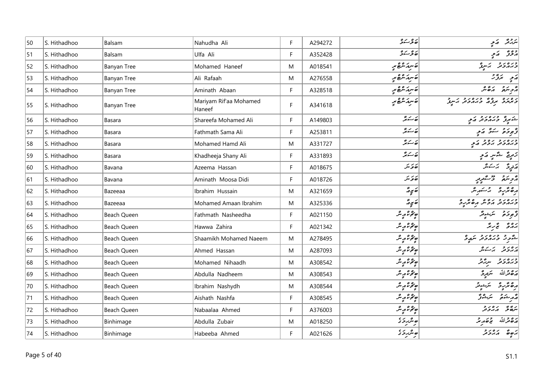| 50 | S. Hithadhoo | Balsam             | Nahudha Ali                      | $\mathsf F$ | A294272 | ئەۋسەۋ                           | يتربر ميمني                                                                         |
|----|--------------|--------------------|----------------------------------|-------------|---------|----------------------------------|-------------------------------------------------------------------------------------|
| 51 | S. Hithadhoo | Balsam             | Ulfa Ali                         | F           | A352428 | ەۋسەۋ                            | أروق أربح                                                                           |
| 52 | S. Hithadhoo | <b>Banyan Tree</b> | Mohamed Haneef                   | M           | A018541 | صَسِرَ سْرَهْ مِرِ               | ورەرو ئەرو                                                                          |
| 53 | S. Hithadhoo | <b>Banyan Tree</b> | Ali Rafaah                       | M           | A276558 | صَسِمَة سَرْهِ مِرِ              | أەير بروژ                                                                           |
| 54 | S. Hithadhoo | <b>Banyan Tree</b> | Aminath Abaan                    | F           | A328518 | صَسِرَ مَثَر هِ مِرِ             | أزجر المتوسر                                                                        |
| 55 | S. Hithadhoo | <b>Banyan Tree</b> | Mariyam Rif'aa Mohamed<br>Haneef | F           | A341618 | صَسِدَ مَرْجٍ مِرِ               | כמית מצב כמהכת ג'יתו                                                                |
| 56 | S. Hithadhoo | <b>Basara</b>      | Shareefa Mohamed Ali             | F           | A149803 | ە ئەبۇ                           | شَمِرِوٌ - وَبَرْمَ وَمَرْ - يَرْمِ                                                 |
| 57 | S. Hithadhoo | Basara             | Fathmath Sama Ali                | F           | A253811 | ە ئەبۇ                           |                                                                                     |
| 58 | S. Hithadhoo | Basara             | Mohamed Hamd Ali                 | M           | A331727 | ە ئەبۇ                           |                                                                                     |
| 59 | S. Hithadhoo | Basara             | Khadheeja Shany Ali              | F           | A331893 | ە ئەبۇ                           | ر<br>ترمړنځ څې کړه کړ                                                               |
| 60 | S. Hithadhoo | Bavana             | Azeema Hassan                    | F           | A018675 | ر ر<br>ھۆس                       | <br>  مَا فرِعٌ   الكِرْسُورُ                                                       |
| 61 | S. Hithadhoo | Bavana             | Aminath Moosa Didi               | F           | A018726 | ەئەتىر                           |                                                                                     |
| 62 | S. Hithadhoo | Bazeeaa            | Ibrahim Hussain                  | M           | A321659 | لصَبِح مَّهُ                     | مەھترىرى بر شمىر ش                                                                  |
| 63 | S. Hithadhoo | Bazeeaa            | Mohamed Amaan Ibrahim            | M           | A325336 | <br> خصم پر                      |                                                                                     |
| 64 | S. Hithadhoo | Beach Queen        | Fathmath Nasheedha               | F           | A021150 | <br>  ئۇنجون <sub>ى</sub> مەسىر  | ترجوخا متشوش                                                                        |
| 65 | S. Hithadhoo | Beach Queen        | Hawwa Zahira                     | F           | A021342 | <br>  ئەنجونا مەشر               | $\stackrel{2}{\sim}$ $\stackrel{2}{\sim}$ $\stackrel{2}{\sim}$ $\stackrel{2}{\sim}$ |
| 66 | S. Hithadhoo | Beach Queen        | Shaamikh Mohamed Naeem           | M           | A278495 | ە ئەرەبەر<br>ئ                   | أشور ورورو شهرو                                                                     |
| 67 | S. Hithadhoo | <b>Beach Queen</b> | Ahmed Hassan                     | M           | A287093 | ە پەر بەر<br>ئ                   | رەرو رىكىر                                                                          |
| 68 | S. Hithadhoo | <b>Beach Queen</b> | Mohamed Nihaadh                  | M           | A308542 | ە ئۇيۋېرىشە<br>ئ                 | ورەر دەرد<br><i>دىدە</i> ردىر س <i>رى</i> گىر                                       |
| 69 | S. Hithadhoo | <b>Beach Queen</b> | Abdulla Nadheem                  | M           | A308543 | <br>  ئۇنجون <sub>ى</sub> مەستىر | رە تەللە س <i>رىرد</i>                                                              |
| 70 | S. Hithadhoo | Beach Queen        | Ibrahim Nashydh                  | M           | A308544 | ئەنزىر مەر                       | أرە ئۆر ئەسىسى ئىشىد                                                                |
| 71 | S. Hithadhoo | Beach Queen        | Aishath Nashfa                   | F           | A308545 | ئەنزىدىكە بەشر                   | ە ئەر ئىكى ئىس ئىشىر ئى                                                             |
| 72 | S. Hithadhoo | Beach Queen        | Nabaalaa Ahmed                   | F           | A376003 | ئەترىئە مەيىتىر                  | أبره بمدرد                                                                          |
| 73 | S. Hithadhoo | Binhimage          | Abdulla Zubair                   | M           | A018250 | ھ مربر دی<br>ر                   | أرجع ترالله بمخصر بمر                                                               |
| 74 | S. Hithadhoo | Binhimage          | Habeeba Ahmed                    | F           | A021626 | ە مەرىرى<br>م                    | برەش برەر د                                                                         |
|    |              |                    |                                  |             |         |                                  |                                                                                     |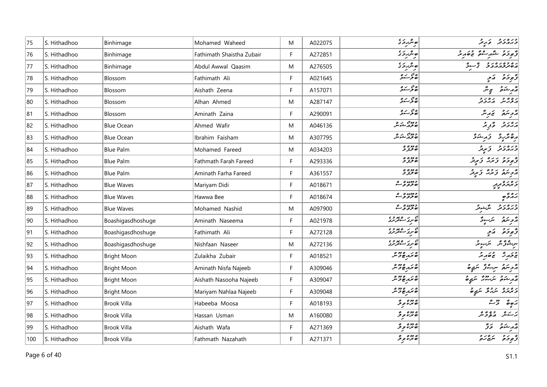| 75           | S. Hithadhoo | Binhimage          | Mohamed Waheed            | M  | A022075 | ه شربر د ،<br>م                      | دره رو در کرد                                                                                       |
|--------------|--------------|--------------------|---------------------------|----|---------|--------------------------------------|-----------------------------------------------------------------------------------------------------|
| 76           | S. Hithadhoo | Binhimage          | Fathimath Shaistha Zubair | F. | A272851 | ھ مر<br>پر پر دی                     | ژوده شر ده جمه بر                                                                                   |
| 77           | S. Hithadhoo | Binhimage          | Abdul Awwal Qaasim        | M  | A276505 | ه شربر د ،<br>مرس                    | גם כסגסגב ביצייק                                                                                    |
| 78           | S. Hithadhoo | Blossom            | Fathimath Ali             | F  | A021645 | ە ئۇسىرە                             | وٌجودَ حَدِ                                                                                         |
| 79           | S. Hithadhoo | Blossom            | Aishath Zeena             | F  | A157071 | ەمۇسەد                               | ړ د شوه پې تر                                                                                       |
| 80           | S. Hithadhoo | Blossom            | Alhan Ahmed               | M  | A287147 | ەمۇسەد                               | روم د ره رو                                                                                         |
| 81           | S. Hithadhoo | <b>Blossom</b>     | Aminath Zaina             | F  | A290091 | ەمۇسەد                               | أأترجع تماميته                                                                                      |
| 82           | S. Hithadhoo | <b>Blue Ocean</b>  | Ahmed Wafir               | M  | A046136 | و دوم در ه<br>ت <i>ه م</i> حرم شوسر  | أرەر دەر ئە                                                                                         |
| 83           | S. Hithadhoo | <b>Blue Ocean</b>  | Ibrahim Faisham           | M  | A307795 | و دوم در ه<br>ن <i>ه م</i> وهر شوسر  | رەڭرى زىرخى                                                                                         |
| 84           | S. Hithadhoo | <b>Blue Palm</b>   | Mohamed Fareed            | M  | A034203 | ە دوم ە<br>ھىرتى تر                  | ورەرو كەيد                                                                                          |
| 85           | S. Hithadhoo | <b>Blue Palm</b>   | Fathmath Farah Fareed     | F. | A293336 | ە دوم ە<br>ھىرتى ت                   | وٌوِدَهُ وَيَرَدُ وَيَدِدُ                                                                          |
| 86           | S. Hithadhoo | <b>Blue Palm</b>   | Aminath Farha Fareed      | F  | A361557 | ه دو ده ه<br>ن <i>ن بو</i> ر         | أزويتم وترث ويرقر                                                                                   |
| 87           | S. Hithadhoo | <b>Blue Waves</b>  | Mariyam Didi              | F  | A018671 | و دور، ه<br>ح <del>م</del> رح و مسکو | ر صرح مرمر<br>د بربرد تو تو                                                                         |
| 88           | S. Hithadhoo | <b>Blue Waves</b>  | Hawwa Bee                 | F  | A018674 | و دور، ه<br>حاموړې سه                | ر ه و په<br>بر د و په                                                                               |
| 89           | S. Hithadhoo | <b>Blue Waves</b>  | Mohamed Nashid            | M  | A097900 | و دوره ه ه<br><i>ه مود</i> و م       | ورەر دە ئەسىر<br><i>دىدە</i> ردىر ئىرىشەنر                                                          |
| $ 90\rangle$ | S. Hithadhoo | Boashigasdhoshuge  | Aminath Naseema           | F  | A021978 | ان به رحمه و د<br>  تصویر مسلومین    | أأرد سكوا المسترات                                                                                  |
| 91           | S. Hithadhoo | Boashigasdhoshuge  | Fathimath Ali             | F  | A272128 | ہ پر صور ہ<br>صری سنگرمری            | ومجوحا وكمع                                                                                         |
| 92           | S. Hithadhoo | Boashigasdhoshuge  | Nishfaan Naseer           | M  | A272136 | م بر صور و د<br>  تصورتری            | <mark>سرڪوڙھو</mark> اسرسيونر                                                                       |
| 93           | S. Hithadhoo | <b>Bright Moon</b> | Zulaikha Zubair           | F  | A018521 | ە ئەرەپچە شەر                        | بمخبرش محقد يم                                                                                      |
| 94           | S. Hithadhoo | <b>Bright Moon</b> | Aminath Nisfa Najeeb      | F  | A309046 | صمر معدد مر                          | أأدمر المراكب المستجم                                                                               |
| 95           | S. Hithadhoo | <b>Bright Moon</b> | Aishath Nasooha Najeeb    | F  | A309047 | صمر مع تر مر                         |                                                                                                     |
| 96           | S. Hithadhoo | <b>Bright Moon</b> | Mariyam Nahlaa Najeeb     | F  | A309048 | ە ئەرەدى <sub>د</sub> ە              | رەرە بەر ئەر بەر                                                                                    |
| 97           | S. Hithadhoo | <b>Brook Villa</b> | Habeeba Moosa             | F. | A018193 | 220 مرمگر<br>  جا سر مرمگر           | $\stackrel{\circ}{\sim}$ $\stackrel{\circ}{\sim}$ $\stackrel{\circ}{\sim}$ $\stackrel{\circ}{\sim}$ |
| 98           | S. Hithadhoo | <b>Brook Villa</b> | Hassan Usman              | M  | A160080 | دوره <sub>عر</sub> محر               | ىر كەش مەھم ئەشر                                                                                    |
| 99           | S. Hithadhoo | <b>Brook Villa</b> | Aishath Wafa              | F  | A271369 | 2000 ء ٿر                            | د از استوجد استرات                                                                                  |
| 100          | S. Hithadhoo | <b>Brook Villa</b> | Fathmath Nazahath         | F  | A271371 | ە دەە ھەقە                           | قرم د د بر در د                                                                                     |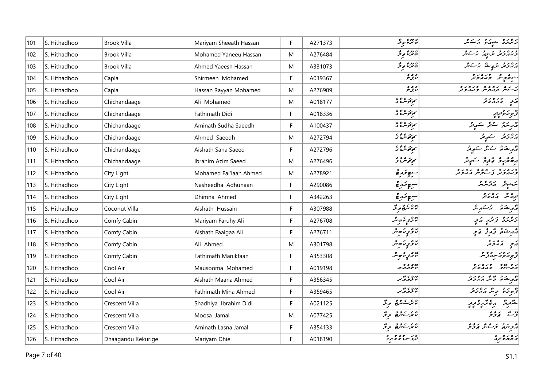| 101 | S. Hithadhoo | <b>Brook Villa</b> | Mariyam Sheeath Hassan | F  | A271373 | 2000 ء ٿر                            | ويرمرو سورة بركبر                                              |
|-----|--------------|--------------------|------------------------|----|---------|--------------------------------------|----------------------------------------------------------------|
| 102 | S. Hithadhoo | <b>Brook Villa</b> | Mohamed Yaneeu Hassan  | M  | A276484 | ە دەە بەر                            | ورورو برسرة برسكر                                              |
| 103 | S. Hithadhoo | <b>Brook Villa</b> | Ahmed Yaeesh Hassan    | M  | A331073 | ە دەە بەر                            | أرور و الله الله الله بالسكامل                                 |
| 104 | S. Hithadhoo | Capla              | Shirmeen Mohamed       | F. | A019367 | ئەۋىچە                               | <br> شوټر <sub>ي</sub> پر دره رو                               |
| 105 | S. Hithadhoo | Capla              | Hassan Rayyan Mohamed  | M  | A276909 | ءوء                                  | ر ره ره ده وره رو<br>برخش برورش وبروونر                        |
| 106 | S. Hithadhoo | Chichandaage       | Ali Mohamed            | M  | A018177 | ىموكىر ھەمچ ك                        | أمجمع وره رد                                                   |
| 107 | S. Hithadhoo | Chichandaage       | Fathimath Didi         | F  | A018336 | ى ئەرەپ                              | تر بم و کم توپو                                                |
| 108 | S. Hithadhoo | Chichandaage       | Aminath Sudha Saeedh   | F. | A100437 | ى ئەرەپ                              | ە ئەسىرە ئەسىر ئىسىر ئىر                                       |
| 109 | S. Hithadhoo | Chichandaage       | Ahmed Saeedh           | M  | A272794 | ىم ئىر شەم ئ                         | ره رو در در د<br>مدرونر <b>کور</b> نر                          |
| 110 | S. Hithadhoo | Chichandaage       | Aishath Sana Saeed     | F  | A272796 | ىموكىر ھەمچ ك                        | م درج سے میں سکھ کے دید تھر                                    |
| 111 | S. Hithadhoo | Chichandaage       | Ibrahim Azim Saeed     | M  | A276496 | ى ئەرەپ                              | مەھەر ئەھم ئەھمەت                                              |
| 112 | S. Hithadhoo | City Light         | Mohamed Fal'laan Ahmed | M  | A278921 | سوءٍ مَرْرِءِ                        | ورەر دېرە دەر دەر د<br><i>دېرم</i> وتر كې شوشر م <i>رم</i> وتر |
| 113 | S. Hithadhoo | City Light         | Nasheedha Adhunaan     | F  | A290086 | سوءٍ مَرَرةٍ                         | <i>سَ شونگر می فرمگرمگر</i>                                    |
| 114 | S. Hithadhoo | City Light         | Dhimna Ahmed           | F  | A342263 | سوءٍ مَرْرِءٍ                        | مروش پره د و                                                   |
| 115 | S. Hithadhoo | Coconut Villa      | Aishath Hussain        | F  | A307988 | بره بره <sub>عر</sub> محر            | مەر شىم بىر شىر بىر                                            |
| 116 | S. Hithadhoo | Comfy Cabin        | Mariyam Faruhy Ali     | F  | A276708 | <br>  برور بر موشر                   | ويرو وتربه مدر                                                 |
| 117 | S. Hithadhoo | Comfy Cabin        | Aishath Faaigaa Ali    | F  | A276711 | يوه و عاھ ميں                        | مەر شىم ئۇرقى مەر                                              |
| 118 | S. Hithadhoo | Comfy Cabin        | Ali Ahmed              | M  | A301798 | يوه و عاھ ميں                        | ړې د پرورو                                                     |
| 119 | S. Hithadhoo | Comfy Cabin        | Fathimath Manikfaan    | F  | A353308 | *دْ دٍ بِنَاءِ مْر                   | ۇ ب <sub>و</sub> خەر خىرىدۇ ئىر                                |
| 120 | S. Hithadhoo | Cool Air           | Mausooma Mohamed       | F  | A019198 | دده ، د<br>پانور د پر                | נכח כנסגב<br>בגייב בגבבת                                       |
| 121 | S. Hithadhoo | Cool Air           | Aishath Maana Ahmed    | F  | A356345 | ככם גם היו<br>מישה בריה מי           |                                                                |
| 122 | S. Hithadhoo | Cool Air           | Fathimath Mina Ahmed   | F  | A359465 | ככם גיב<br>מיכונה ב                  | وتجودة ويتز متادوند                                            |
| 123 | S. Hithadhoo | Crescent Villa     | Shadhiya Ibrahim Didi  | F. | A021125 | ه با بر عروه و د                     | شمرة مەترىۋىرىر                                                |
| 124 | S. Hithadhoo | Crescent Villa     | Moosa Jamal            | M  | A077425 | ە ئەممىدى ھ                          | وحرثت بحارضي                                                   |
| 125 | S. Hithadhoo | Crescent Villa     | Aminath Lasna Jamal    | F  | A354133 | <mark>، ئەستەھ ھ</mark> ۇ            | د څر سره بر څر د ځو و                                          |
| 126 | S. Hithadhoo | Dhaagandu Kekurige | Mariyam Dhie           | F  | A018190 | ه د ر و ، و ، ،<br>تری سره ما ما بوی | تر و بر و به پر                                                |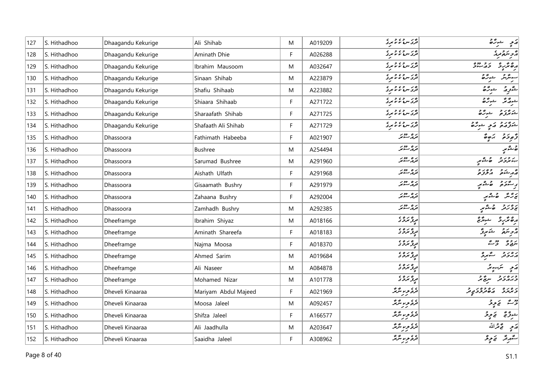| 127 | S. Hithadhoo | Dhaagandu Kekurige | Ali Shihab           | M  | A019209 | ل در دی دی.<br>  فری سره کا کا مربی                     | $\frac{2}{3}$<br>پړې                                                                    |
|-----|--------------|--------------------|----------------------|----|---------|---------------------------------------------------------|-----------------------------------------------------------------------------------------|
| 128 | S. Hithadhoo | Dhaagandu Kekurige | Aminath Dhie         | F. | A026288 | پور پر دې د په<br>ترې مره لا لامبري                     | و سر آر مرد در مرکز بر<br>مرکز مرکز مرکز مرکز بر                                        |
| 129 | S. Hithadhoo | Dhaagandu Kekurige | Ibrahim Mausoom      | M  | A032647 | لور سره ۲۶ مر <sub>و</sub>                              | ەر ھەترىر <i>2</i><br>ىر دە دە                                                          |
| 130 | S. Hithadhoo | Dhaagandu Kekurige | Sinaan Shihab        | M  | A223879 | ور سوء ر و د و<br><mark>تر</mark> ى سوء ما ما مرى       | اسەيترىتر<br>ك<br>شەرگەنچ                                                               |
| 131 | S. Hithadhoo | Dhaagandu Kekurige | Shafiu Shihaab       | M  | A223882 | لەر سەم ئارىپى<br>قىرى مىرى ئارىم ئىرى                  | الشورقر<br>ے رگزے                                                                       |
| 132 | S. Hithadhoo | Dhaagandu Kekurige | Shiaara Shihaab      | F  | A271722 | پیمر سر ج بر ج ح<br>  پس کا مرکز موری                   | شوره شرقرة                                                                              |
| 133 | S. Hithadhoo | Dhaagandu Kekurige | Sharaafath Shihab    | F  | A271725 | لور سرچ ۽ ج جي ۽<br><mark>تئري سرچ</mark> ما ما مبري    | ے در د<br>شوہروم شو <i>رہ</i>                                                           |
| 134 | S. Hithadhoo | Dhaagandu Kekurige | Shafaath Ali Shihab  | F  | A271729 | لوړ سره د د د د د پا<br><mark>ندې سره لا ما</mark> مېرې | $rac{22}{\sqrt{2}}$                                                                     |
| 135 | S. Hithadhoo | Dhassoora          | Fathimath Habeeba    | F  | A021907 | ر ہ دور<br>تدرگر سوئر                                   | و محرم د<br>م<br>$\overset{\ast}{\circ}\overset{\ast}{\circ}\widetilde{\cdot}$          |
| 136 | S. Hithadhoo | Dhassoora          | <b>Bushree</b>       | M  | A254494 | ر ٥ <u>. دد ر</u><br>تدرگر سونیر                        | چ شو پر<br>م                                                                            |
| 137 | S. Hithadhoo | Dhassoora          | Sarumad Bushree      | M  | A291960 | ىرە جېمە                                                | ر در د ده در د                                                                          |
| 138 | S. Hithadhoo | Dhassoora          | Aishath Ulfath       | F  | A291968 | ىرە يېزىر                                               | و ه د د<br>مرمونو پو<br>پھر پر دی۔<br>انگر                                              |
| 139 | S. Hithadhoo | Dhassoora          | Gisaamath Bushry     | F  | A291979 | ر ٥ <u>. دد ر</u><br>تدرگر سونیر                        | كالمستحق هشمر                                                                           |
| 140 | S. Hithadhoo | Dhassoora          | Zahaana Bushry       | F  | A292004 | ر ٥ <u>. دد ر</u><br>تدرگر سونیر                        | ى ئەش ھەشىر                                                                             |
| 141 | S. Hithadhoo | Dhassoora          | Zamhadh Bushry       | M  | A292385 | ر ە دور<br>تىرەر سىيمىر                                 | پرورو ویشتمی                                                                            |
| 142 | S. Hithadhoo | Dheeframge         | Ibrahim Shiyaz       | M  | A018166 | وړو تره د                                               | גלילגר החי                                                                              |
| 143 | S. Hithadhoo | Dheeframge         | Aminath Shareefa     | F  | A018183 | ىر ۋىر 3 ك                                              | أأدوبتكم المشتموقر                                                                      |
| 144 | S. Hithadhoo | Dheeframge         | Najma Moosa          | F  | A018370 | در د څر د د                                             | روم ورم                                                                                 |
| 145 | S. Hithadhoo | Dheeframge         | Ahmed Sarim          | M  | A019684 | د ه ره ء<br>پرو ترو د                                   | پروژو<br>ستشعرو                                                                         |
| 146 | S. Hithadhoo | Dheeframge         | Ali Naseer           | M  | A084878 | و و د ه ،<br>پرو ترو د                                  | أوسمع المتكسبة والمحمد                                                                  |
| 147 | S. Hithadhoo | Dheeframge         | Mohamed Nizar        | M  | A101778 | و د ه د ه ،<br>پورتمرد د                                | כנים בי תוציב                                                                           |
| 148 | S. Hithadhoo | Dheveli Kinaaraa   | Mariyam Abdul Majeed | F  | A021969 | ە ئەھرىيە ئىگە<br>مەمرىر ئىگەنگە                        | ر ه ر ه ر ه و ه ر پر د<br>د بر رحم ه پر ه در د د پر د                                   |
| 149 | S. Hithadhoo | Dheveli Kinaaraa   | Moosa Jaleel         | M  | A092457 | ە ئەھرىيە ئىگە<br>مەمرىر ئىگە                           | ژے نے پانچ                                                                              |
| 150 | S. Hithadhoo | Dheveli Kinaaraa   | Shifza Jaleel        | F  | A166577 | مُرةَ مِرْ مِرْ مَّرْ مَّرْ                             | $\overbrace{\mathcal{E}^{\mathcal{G},\pm}}^{\mathcal{E}^{\mathcal{G},\pm}}$<br>تع محرقر |
| 151 | S. Hithadhoo | Dheveli Kinaaraa   | Ali Jaadhulla        | M  | A203647 | مُرةَ مِرْ مِرْ مَّرْ مَّرْ                             | أضرم قح قرالله                                                                          |
| 152 | S. Hithadhoo | Dheveli Kinaaraa   | Saaidha Jaleel       | F  | A308962 | قرة موربه مثر تمر<br>                                   | سەرىگە ئەمرى                                                                            |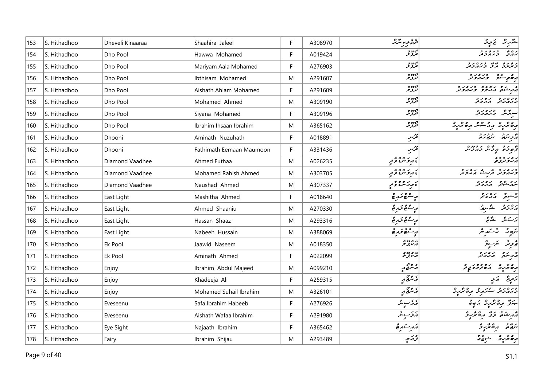| 153 | S. Hithadhoo | Dheveli Kinaaraa | Shaahira Jaleel          | F           | A308970 | ۇ <sub>م</sub> ۇمەر م <sup>ى</sup> رىگە | أحثريثر الأموقر                                  |
|-----|--------------|------------------|--------------------------|-------------|---------|-----------------------------------------|--------------------------------------------------|
| 154 | S. Hithadhoo | Dho Pool         | Hawwa Mohamed            | E           | A019424 | ەددە<br>توقرى                           | ر ه بو<br>براد څ<br>و ره ر و<br>تر پروتر         |
| 155 | S. Hithadhoo | Dho Pool         | Mariyam Aala Mohamed     | F           | A276903 | ەددە<br>توقرىق                          | נסנס שם כנסנכ<br>כמתכ הב כההכת                   |
| 156 | S. Hithadhoo | Dho Pool         | Ibthisam Mohamed         | M           | A291607 | ەددە<br>توقرىم                          | 04 012 04<br>1000 07 07 07                       |
| 157 | S. Hithadhoo | Dho Pool         | Aishath Ahlam Mohamed    | F           | A291609 | ەددە<br>تىرترىخە                        | ه در در ده ده دره در د                           |
| 158 | S. Hithadhoo | Dho Pool         | Mohamed Ahmed            | M           | A309190 | ەددە<br>توقرى                           | ورەر دەرد<br><i>دىد</i> ەردى <sub>ر</sub> مەردىر |
| 159 | S. Hithadhoo | Dho Pool         | Siyana Mohamed           | F           | A309196 | ەددە<br>توقرىق                          | سەر درەرد                                        |
| 160 | S. Hithadhoo | Dho Pool         | Ibrahim Ihsaan Ibrahim   | M           | A365162 | ەددە<br>توقرى                           | مەھزىر مەشكىر مەمزىر                             |
| 161 | S. Hithadhoo | Dhooni           | Aminath Nuzuhath         | F           | A018891 | ود<br> قرسر                             | و شرح من المرد و المراجع                         |
| 162 | S. Hithadhoo | <b>Dhooni</b>    | Fathimath Eemaan Maumoon | F           | A331436 | ود<br>قرسر                              | CHONG CHONG                                      |
| 163 | S. Hithadhoo | Diamond Vaadhee  | Ahmed Futhaa             | M           | A026235 | ،<br>، دېره موځ تو                      | ر ه ر د د و<br>پر ژ تروپی                        |
| 164 | S. Hithadhoo | Diamond Vaadhee  | Mohamed Rahish Ahmed     | M           | A303705 | ،<br>، دېر شره ځور                      | ورەرو پر دېم درەرو                               |
| 165 | S. Hithadhoo | Diamond Vaadhee  | Naushad Ahmed            | M           | A307337 | ،<br>، د دَ مره ه وَ مر                 | ر و به و به در و<br>سمد شوتر مدر د تر            |
| 166 | S. Hithadhoo | East Light       | Mashitha Ahmed           | $\mathsf F$ | A018640 | وسقوع فروغ                              | وٌ شورة كار دور و                                |
| 167 | S. Hithadhoo | East Light       | Ahmed Shaaniu            | M           | A270330 | ويستفخره                                | برەرو شەر                                        |
| 168 | S. Hithadhoo | East Light       | Hassan Shaaz             | M           | A293316 | وسقوع تروغ                              | يُرَسَمْرُ الشَّمْ                               |
| 169 | S. Hithadhoo | East Light       | Nabeeh Hussain           | M           | A388069 | وسقوع فروغ                              | تتوير برستهريش                                   |
| 170 | S. Hithadhoo | Ek Pool          | Jaawid Naseem            | M           | A018350 | ړ، ه دوه<br>د تر نو                     | قَمَ وقر مَرْسِوڤر                               |
| 171 | S. Hithadhoo | Ek Pool          | Aminath Ahmed            | F           | A022099 | ړه دده<br>د ۱ بر نو                     | ر 2 در د<br>مربر <del>د</del> تر<br>ړګر سرچ      |
| 172 | S. Hithadhoo | Enjoy            | Ibrahim Abdul Majeed     | M           | A099210 | اپرېتوه په                              | ر ٥ ٥ ٥ ٥ ر<br>در ځ تر څر تو تر                  |
| 173 | S. Hithadhoo | Enjoy            | Khadeeja Ali             | $\mathsf F$ | A259315 | ومرجي                                   |                                                  |
| 174 | S. Hithadhoo | Enjoy            | Mohamed Suhail Ibrahim   | M           | A326101 | ە مەھ<br>مەسىمە                         |                                                  |
| 175 | S. Hithadhoo | Eveseenu         | Safa Ibrahim Habeeb      | F           | A276926 | ى ئەسەپىر<br>مەسىر                      | $\frac{1}{2}$                                    |
| 176 | S. Hithadhoo | Eveseenu         | Aishath Wafaa Ibrahim    | F           | A291980 | ې يە يە<br>مەھرىسى تە                   |                                                  |
| 177 | S. Hithadhoo | Eye Sight        | Najaath Ibrahim          | F           | A365462 | پروسنه ه<br>                            |                                                  |
| 178 | S. Hithadhoo | Fairy            | Ibrahim Shijau           | M           | A293489 | أقرمتي                                  | وە ئەر ئىسىم                                     |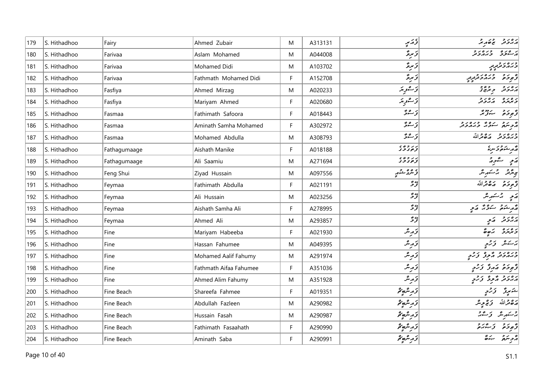| 179 | S. Hithadhoo | Fairy        | Ahmed Zubair           | M           | A313131 | ې تر <sub>سمب</sub>                  | גפנק קבור                           |
|-----|--------------|--------------|------------------------|-------------|---------|--------------------------------------|-------------------------------------|
| 180 | S. Hithadhoo | Farivaa      | Aslam Mohamed          | M           | A044008 | ۇ ئىرەگە                             | أرصوص وره رو                        |
| 181 | S. Hithadhoo | Farivaa      | Mohamed Didi           | M           | A103702 | وَسِرةً                              | وره ر و<br>د په دوندېږې             |
| 182 | S. Hithadhoo | Farivaa      | Fathmath Mohamed Didi  | F           | A152708 | وَمَرِةً                             | و د د درورو .<br>ترجوحو تربر د درور |
| 183 | S. Hithadhoo | Fasfiya      | Ahmed Mirzag           | M           | A020233 | ۇ شوپە                               | גם גב בייבי                         |
| 184 | S. Hithadhoo | Fasfiya      | Mariyam Ahmed          | F           | A020680 | ۇ سىموپىر                            | נסנס נסנד<br>כינונק הגבת            |
| 185 | S. Hithadhoo | Fasmaa       | Fathimath Safoora      | $\mathsf F$ | A018443 | ر ه پح                               | و ده سکور                           |
| 186 | S. Hithadhoo | Fasmaa       | Aminath Samha Mohamed  | F           | A302972 | ر ه پح                               | و ده ده وره در د                    |
| 187 | S. Hithadhoo | Fasmaa       | Mohamed Abdulla        | M           | A308793 | ۇ سەۋ                                | وره رو ده دالله                     |
| 188 | S. Hithadhoo | Fathagumaage | Aishath Manike         | F           | A018188 | ر ر د د ،<br><b>ز</b> بر د ر         | ا په مه شوې شورځ<br>م               |
| 189 | S. Hithadhoo | Fathagumaage | Ali Saamiu             | M           | A271694 | ر ر د » ،<br><b>ز</b> ه د ژ د        | أوسمج المتعرفة                      |
| 190 | S. Hithadhoo | Feng Shui    | Ziyad Hussain          | M           | A097556 | ء مره مينه<br>افرېتينې               | برور بر شور شر<br>بر استقرار        |
| 191 | S. Hithadhoo | Feymaa       | Fathimath Abdulla      | $\mathsf F$ | A021191 | ويح                                  | قرموخر مكافيرالله                   |
| 192 | S. Hithadhoo | Feymaa       | Ali Hussain            | M           | A023256 | ويح                                  | ە ئەسەر                             |
| 193 | S. Hithadhoo | Feymaa       | Aishath Samha Ali      | F           | A278995 | ە بەر<br>مۇرىخ                       | $\frac{2}{3}$                       |
| 194 | S. Hithadhoo | Feymaa       | Ahmed Ali              | M           | A293857 | ړه بو<br>مخر څ                       | رەرد كەي                            |
| 195 | S. Hithadhoo | Fine         | Mariyam Habeeba        | $\mathsf F$ | A021930 | ۇ بەيتىر                             |                                     |
| 196 | S. Hithadhoo | Fine         | Hassan Fahumee         | M           | A049395 | ۇ بەيتىر                             | برسته ورمي                          |
| 197 | S. Hithadhoo | Fine         | Mohamed Aalif Fahumy   | M           | A291974 | ۇ بەيتىر                             | ورەرو مەر ئەر ئەر                   |
| 198 | S. Hithadhoo | Fine         | Fathmath Aifaa Fahumee | $\mathsf F$ | A351036 | ۇ برىگە                              | والمجارحة وأمروش وكرحي              |
| 199 | S. Hithadhoo | Fine         | Ahmed Alim Fahumy      | M           | A351928 | تەرىپىر                              | 223 222 2225                        |
| 200 | S. Hithadhoo | Fine Beach   | Shareefa Fahmee        | F           | A019351 | ز <sub>مر سرچو</sub><br>د            | الشهرة أذكرني                       |
| 201 | S. Hithadhoo | Fine Beach   | Abdullah Fazleen       | M           | A290982 | ز <sub>مر سرچو</sub> يج              | رە داللە ئۇغرىش                     |
| 202 | S. Hithadhoo | Fine Beach   | Hussain Fasah          | M           | A290987 | تروشهع                               | يز سكر مثل الاستثر                  |
| 203 | S. Hithadhoo | Fine Beach   | Fathimath Fasaahath    | $\mathsf F$ | A290990 | ز <sub>مر م</sub> ر <sub>حو</sub> ير | $\frac{1}{2}$                       |
| 204 | S. Hithadhoo | Fine Beach   | Aminath Saba           | F           | A290991 | ترمر مثر چرمح                        | أروبترة بذقة                        |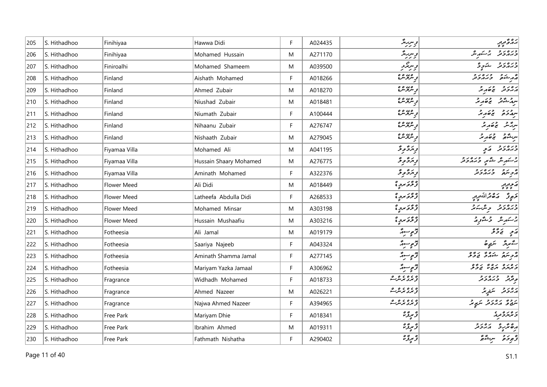| 205 | S. Hithadhoo | Finihiyaa          | Hawwa Didi             | F           | A024435 | او مدر پڑ<br><u>گریز پ</u> ر              | پره گ <sup>و</sup> مرمر<br>  پره گ <sup>و</sup> مرمر                                                   |
|-----|--------------|--------------------|------------------------|-------------|---------|-------------------------------------------|--------------------------------------------------------------------------------------------------------|
| 206 | S. Hithadhoo | Finihiyaa          | Mohamed Hussain        | M           | A271170 | او سربر پژ<br><u>سب</u>                   | ورەرو ورىدىگ                                                                                           |
| 207 | S. Hithadhoo | Finiroalhi         | Mohamed Shameem        | M           | A039500 | وسرچمو                                    | ورەرو شەرو                                                                                             |
| 208 | S. Hithadhoo | Finland            | Aishath Mohamed        | F           | A018266 | و مربو موه<br>پر مربو مربع                | و ره ر د<br><i>د ټ</i> رونر<br>وشمر مشهقه                                                              |
| 209 | S. Hithadhoo | Finland            | Ahmed Zubair           | M           | A018270 | ويترعرمه                                  | גפנק קבות                                                                                              |
| 210 | S. Hithadhoo | Finland            | Niushad Zubair         | M           | A018481 | ويبوعده                                   | سر شور در د                                                                                            |
| 211 | S. Hithadhoo | Finland            | Niumath Zubair         | $\mathsf F$ | A100444 | و موعه ه ه<br>بر مرغر مل                  | and create                                                                                             |
| 212 | S. Hithadhoo | Finland            | Nihaanu Zubair         | F           | A276747 | ويبوعده                                   |                                                                                                        |
| 213 | S. Hithadhoo | Finland            | Nishaath Zubair        | M           | A279045 | وبتر ويده                                 |                                                                                                        |
| 214 | S. Hithadhoo | Fiyamaa Villa      | Mohamed Ali            | M           | A041195 | وبرڈءِڈ                                   | ورەرو كەير                                                                                             |
| 215 | S. Hithadhoo | Fiyamaa Villa      | Hussain Shaary Mohamed | M           | A276775 | وبرڈوڈ                                    | ج سکه شرح الله استراد و در د                                                                           |
| 216 | S. Hithadhoo | Fiyamaa Villa      | Aminath Mohamed        | F           | A322376 | ويزوَّونَر                                | و ره ر و<br>تر پر ژور<br>أرمر وسره                                                                     |
| 217 | S. Hithadhoo | <b>Flower Meed</b> | Ali Didi               | M           | A018449 | <br>  ئۇغۇمرچ                             | ړ و در در<br>په پ                                                                                      |
| 218 | S. Hithadhoo | Flower Meed        | Latheefa Abdulla Didi  | F           | A268533 | ۇ ئۇ ئەسرىي                               |                                                                                                        |
| 219 | S. Hithadhoo | <b>Flower Meed</b> | Mohamed Minsar         | M           | A303198 | ژځو تر په ؟                               | ورەرو جاربىر                                                                                           |
| 220 | S. Hithadhoo | Flower Meed        | Hussain Mushaafiu      | M           | A303216 | ژځو <sub>تر چ</sub>                       | چە سەر ھەر ئەشكەر                                                                                      |
| 221 | S. Hithadhoo | Fotheesia          | Ali Jamal              | M           | A019179 | ېز <sub>مو</sub> سىز<br>ئ                 | $352 - 26$                                                                                             |
| 222 | S. Hithadhoo | Fotheesia          | Saariya Najeeb         | $\mathsf F$ | A043324 | بی <sub>سم</sub> ور پیشر<br>مربو          |                                                                                                        |
| 223 | S. Hithadhoo | Fotheesia          | Aminath Shamma Jamal   | F           | A277145 | بېر <sub>مو</sub> سروگړ<br>تر             | أأدمره المره والمحافظ                                                                                  |
| 224 | S. Hithadhoo | Fotheesia          | Mariyam Yazka Jamaal   | $\mathsf F$ | A306962 | بر<br>نوموسوړ                             | ג סגם גם זי גודם                                                                                       |
| 225 | S. Hithadhoo | Fragrance          | Widhadh Mohamed        | $\mathsf F$ | A018733 | ه ، ه ، ه ره<br>نو بر <sub>د</sub> بر مرت | و ترتر و دره د و<br>حسن المراسم المراسم المراسم المراسم المراسم المراسم المراسم المراسم الله الله الله |
| 226 | S. Hithadhoo | Fragrance          | Ahmed Nazeer           | M           | A026221 | ه ، ه ، ه ره<br>نو بر <sub>د</sub> بر س   | رەر ئىزىر                                                                                              |
| 227 | S. Hithadhoo | Fragrance          | Najwa Ahmed Nazeer     | $\mathsf F$ | A394965 | ه ، ه ، ه ره<br>نو بر د برمبر ک           | ر و د رور و سر پر                                                                                      |
| 228 | S. Hithadhoo | Free Park          | Mariyam Dhie           | F           | A018341 | ە بېرتى <sup>ر</sup>                      | ئە ئەرگە ئەرگە                                                                                         |
| 229 | S. Hithadhoo | Free Park          | Ibrahim Ahmed          | M           | A019311 | ە بېرى <i>ۋە</i>                          | دە ئەرە دەرد                                                                                           |
| 230 | S. Hithadhoo | Free Park          | Fathmath Nishatha      | E           | A290402 | ە بېرۇر<br>ئ <sub>ۇ</sub> بېرۇر           | ومجادح المستشر                                                                                         |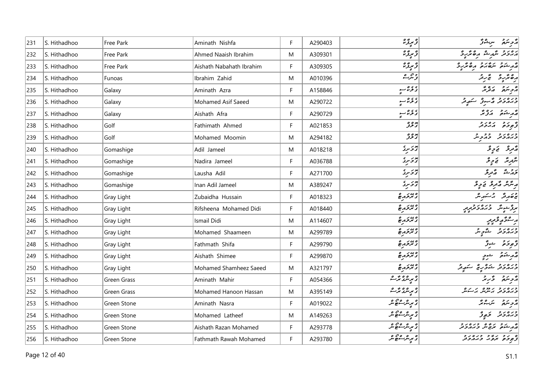| 231 | S. Hithadhoo | Free Park          | Aminath Nishfa           | F           | A290403 | ۇ <sub>مو</sub> رژ ،                                                                    | أأترجم أترامي                                                                 |
|-----|--------------|--------------------|--------------------------|-------------|---------|-----------------------------------------------------------------------------------------|-------------------------------------------------------------------------------|
| 232 | S. Hithadhoo | Free Park          | Ahmed Naaish Ibrahim     | M           | A309301 | ە بېرۇر<br>ئ                                                                            | גיגבל ייתוב תפיקים                                                            |
| 233 | S. Hithadhoo | Free Park          | Aishath Nabahath Ibrahim | F           | A309305 | ۇ <sub>مو</sub> رژ ،                                                                    | د دشتو مهارد و و در د                                                         |
| 234 | S. Hithadhoo | Funoas             | Ibrahim Zahid            | M           | A010396 | ۇنئرىئە                                                                                 | وە ئۇرۇ ئۇرىۋ                                                                 |
| 235 | S. Hithadhoo | Galaxy             | Aminath Azra             | $\mathsf F$ | A158846 | ائی ڈیم ہے                                                                              | ومحر المتعرف والمحرم                                                          |
| 236 | S. Hithadhoo | Galaxy             | Mohamed Asif Saeed       | M           | A290722 | ائی ڈیم ہے                                                                              | ورەرو ئەسوۋە سەئەت                                                            |
| 237 | S. Hithadhoo | Galaxy             | Aishath Afra             | F           | A290729 | ائی ڈیم ہے                                                                              | أشهر مشتمر أمرو مر                                                            |
| 238 | S. Hithadhoo | Golf               | Fathimath Ahmed          | F           | A021853 | برە ە                                                                                   | و ده ده ده د                                                                  |
| 239 | S. Hithadhoo | Golf               | Mohamed Moomin           | M           | A294182 | پر ہ ہ<br>ک مرکز                                                                        | כנים נכנית בר                                                                 |
| 240 | S. Hithadhoo | Gomashige          | Adil Jameel              | M           | A018218 | پر سر سر<br>  پر سر سر سر                                                               | درو تے پی                                                                     |
| 241 | S. Hithadhoo | Gomashige          | Nadira Jameel            | F           | A036788 | پوتر ري<br>  ئەخرىرى                                                                    | شَهرِ بَنَهُ = يَحرِ وُ                                                       |
| 242 | S. Hithadhoo | Gomashige          | Lausha Adil              | F           | A271700 | پر سر سر<br>  پر سر سر سر                                                               | كرويدة المجامري                                                               |
| 243 | S. Hithadhoo | Gomashige          | Inan Adil Jameel         | M           | A389247 | پور م<br>  ئ قرىرى                                                                      | ويترس كمورق فأولو                                                             |
| 244 | S. Hithadhoo | Gray Light         | Zubaidha Hussain         | F           | A018323 | ه پر در ه<br>د مرمره                                                                    | تمقهرش برسكه شر                                                               |
| 245 | S. Hithadhoo | Gray Light         | Rifsheena Mohamed Didi   | F           | A018440 | ه پر در ه<br>د مرمره                                                                    | ىرۇش <sub>و</sub> ش <i>دىمەدەرى</i> ر<br>ئىرۇش <sub>ۇ</sub> س <i>دىمەدەرى</i> |
| 246 | S. Hithadhoo | Gray Light         | Ismail Didi              | M           | A114607 | ە يەر<br>ئەترىخىرى                                                                      | ىر شىر <i>گە بۇ تورىر</i>                                                     |
| 247 | S. Hithadhoo | Gray Light         | Mohamed Shaameen         | M           | A299789 | ە <i>يىز خەر</i> ھ                                                                      | ورەرو شەر                                                                     |
| 248 | S. Hithadhoo | Gray Light         | Fathmath Shifa           | F           | A299790 | ە يەر<br>ئەتىرىخىرى                                                                     | توجوختم سوتر                                                                  |
| 249 | S. Hithadhoo | Gray Light         | Aishath Shimee           | F           | A299870 | ويحرقهم                                                                                 |                                                                               |
| 250 | S. Hithadhoo | Gray Light         | Mohamed Shamheez Saeed   | M           | A321797 | ە يەر<br>ئەترىخىرى                                                                      | ورەرو درەرە سەر                                                               |
| 251 | S. Hithadhoo | <b>Green Grass</b> | Aminath Mahir            | $\mathsf F$ | A054366 | اء سره و عرضه<br>الموسيد                                                                | وحريتهم الحرابر                                                               |
| 252 | S. Hithadhoo | <b>Green Grass</b> | Mohamed Hanoon Hassan    | ${\sf M}$   | A395149 | اه په موضوعه در مختلفه<br>کوه موسوعه مرکب                                               | ورەر دېر دەرە بەسەس                                                           |
| 253 | S. Hithadhoo | Green Stone        | Aminath Nasra            | F           | A019022 | اه په پوره چې پو                                                                        | أأترجع أترابي                                                                 |
| 254 | S. Hithadhoo | Green Stone        | Mohamed Latheef          | M           | A149263 | ە ب <sub>ىر</sub> بىر بىر ھ                                                             | دره د د تر تروژ                                                               |
| 255 | S. Hithadhoo | Green Stone        | Aishath Razan Mohamed    | F           | A293778 | و بر شر <u>عه</u> عر                                                                    | و دره و دره و دره د د                                                         |
| 256 | S. Hithadhoo | Green Stone        | Fathmath Rawah Mohamed   | F.          | A293780 | $\begin{bmatrix} 2 & 2 & 3 & 3 \\ 2 & 3 & 3 & 3 & 3 \\ 3 & 3 & 3 & 3 & 3 \end{bmatrix}$ | و د د د د د د ده د د                                                          |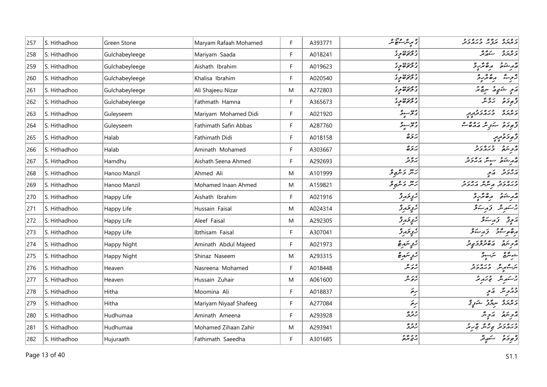| 257 | S. Hithadhoo | Green Stone    | Maryam Rafaah Mohamed        | F  | A393771 | می مرضوع مر<br>  می مرضوع مر                            | נסנס נשפ כנסנב<br>כמתכ מצג בגמבת            |
|-----|--------------|----------------|------------------------------|----|---------|---------------------------------------------------------|---------------------------------------------|
| 258 | S. Hithadhoo | Gulchabeyleege | Mariyam Saada                | F. | A018241 | د ه پرې <sub>د</sub> ،                                  | ر ه ر ه<br><del>ر</del> بربر د<br>سە پە تىر |
| 259 | S. Hithadhoo | Gulchabeyleege | Aishath Ibrahim              | F. | A019623 | د ه پرې <sub>د</sub> ،<br>  د نرنځو هم پ <sub>ر</sub> ، | ەھ تررى<br>وكرم شكرته                       |
| 260 | S. Hithadhoo | Gulchabeyleege | Khalisa Ibrahim              | F. | A020540 | و ه ربر<br>  د نژنمون مور                               | دە ئەرد<br>رٌ وبہٌ                          |
| 261 | S. Hithadhoo | Gulchabeyleege | Ali Shajeeu Nizar            | M  | A272803 | و ه ربر<br>  د نژنمون م <sub>و</sub> ر                  | أرو سكورة الريحية                           |
| 262 | S. Hithadhoo | Gulchabeyleege | Fathmath Hamna               | F  | A365673 | د وړ پ <sub>ه و</sub> ،<br>د <del>و</del> کوه و د       | تورد رەپر                                   |
| 263 | S. Hithadhoo | Guleyseem      | Mariyam Mohamed Didi         | F  | A021920 | دي.<br>د نو سوژ                                         | גפגם כגםגבעער<br>האחר האמכנענע              |
| 264 | S. Hithadhoo | Guleyseem      | <b>Fathimath Safin Abbas</b> | F  | A287760 | دي.<br>د توسيوژ                                         | توجدة سوره مده من                           |
| 265 | S. Hithadhoo | Halab          | Fathimath Didi               | F  | A018158 | برىرە                                                   | <br>  توجو حو تو تو تو                      |
| 266 | S. Hithadhoo | Halab          | Aminath Mohamed              | F  | A303667 | برىخە                                                   |                                             |
| 267 | S. Hithadhoo | Hamdhu         | Aishath Seena Ahmed          | F. | A292693 | ر ە د<br>بروتر                                          | و د شو سوسر د د د د                         |
| 268 | S. Hithadhoo | Hanoo Manzil   | Ahmed Ali                    | M  | A101999 | ریژ دَ عربو دُ                                          | أرور و المحمو                               |
| 269 | S. Hithadhoo | Hanoo Manzil   | Mohamed Inaan Ahmed          | M  | A159821 | رُنْزُ دَنْرْ و                                         | כנסנכ השם נסנכ                              |
| 270 | S. Hithadhoo | Happy Life     | Aishath Ibrahim              | F  | A021916 | ر بو <del>ز</del> ىر ۋ                                  | ومرشوم مصريره                               |
| 271 | S. Hithadhoo | Happy Life     | Hussain Faisal               | M  | A024314 | ر<br>ئەرىخەر بى                                         | يزخير يؤيد بذكر                             |
| 272 | S. Hithadhoo | Happy Life     | Aleef Faisal                 | M  | A292305 | <sup>ي</sup> پ <sub>و</sub> ځه د ژ                      | أتزيوق أقرم يتوفر                           |
| 273 | S. Hithadhoo | Happy Life     | Ibthisam Faisal              | F. | A307041 | <sup>ي</sup> پ <sub>و</sub> ځه په د                     | وهوشحر بمرده                                |
| 274 | S. Hithadhoo | Happy Night    | Aminath Abdul Majeed         | F. | A021973 | <sup>ج</sup> ب <sub>و</sub> سَرم <sup>9</sup>           | و برد بره دوربر د<br>مرد شهر مان مرد د با   |
| 275 | S. Hithadhoo | Happy Night    | Shinaz Naseem                | M  | A293315 | ر و په پېره                                             | شبەئدى ترسېۋ                                |
| 276 | S. Hithadhoo | Heaven         | Nasreena Mohamed             | F  | A018448 | ى بر ھ<br>برى مىر                                       | تر می دره در<br>ترکمبرس ورورو               |
| 277 | S. Hithadhoo | Heaven         | Hussain Zuhair               | M  | A061600 | <sup>ى رە</sup>                                         | برسكر مع بركر بر                            |
| 278 | S. Hithadhoo | Hitha          | Moomina Ali                  | F  | A018837 | رېځ                                                     | دو په پېښتنې                                |
| 279 | S. Hithadhoo | Hitha          | Mariyam Niyaaf Shafeeg       | F  | A277084 | رىر                                                     | במתכ ייתר ביצב                              |
| 280 | S. Hithadhoo | Hudhumaa       | Aminath Ameena               | F. | A293928 | و و په<br>رندون                                         | أزويتم أرويتر                               |
| 281 | S. Hithadhoo | Hudhumaa       | Mohamed Zihaan Zahir         | M  | A293941 | و و په<br>رندو                                          | ورورو برشد لجريز                            |
| 282 | S. Hithadhoo | Hujuraath      | Fathimath Saeedha            | F  | A301685 | و و د و<br>بر و بره                                     | وَجوحَم سَمهِ مَدْ                          |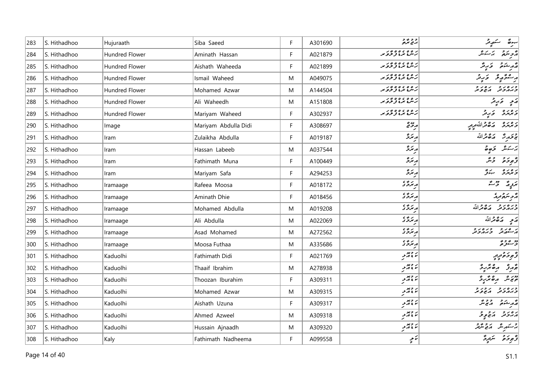| 283 | S. Hithadhoo | Hujuraath             | Siba Saeed           | $\mathsf F$ | A301690 | و و د و<br>بر و بر و                                       | ب ده کرد کرد<br>م                                         |
|-----|--------------|-----------------------|----------------------|-------------|---------|------------------------------------------------------------|-----------------------------------------------------------|
| 284 | S. Hithadhoo | <b>Hundred Flower</b> | Aminath Hassan       | F           | A021879 | ر ه ه ه ، ه ه ه د ر<br>رس ند و و څرو بر                    | ۇ ئەسىر<br>برسەيىتىر                                      |
| 285 | S. Hithadhoo | <b>Hundred Flower</b> | Aishath Waheeda      | F           | A021899 | ر ۵۰۰۰۰۰ د در<br>رسده مره و څرخ مر                         | مەرخىق ق.يىر                                              |
| 286 | S. Hithadhoo | <b>Hundred Flower</b> | Ismail Waheed        | M           | A049075 | ر ۵۰۰۰۰۰ و بور<br>رس نه بر د توڅو پر                       | وڪوڻو وَرِثر                                              |
| 287 | S. Hithadhoo | <b>Hundred Flower</b> | Mohamed Azwar        | M           | A144504 | ر ۵۰۰۰۰۰ در<br>رس نه نوع توخره نیز                         | כנסנכ נסנכ<br>כגתכת השפת                                  |
| 288 | S. Hithadhoo | <b>Hundred Flower</b> | Ali Waheedh          | M           | A151808 | ر ۵ ۵ ۵ ۵ ۵ <i>و د ر</i><br>رس نه مر نه تو څر <i>ه ب</i> ر | ړَی دَرِیْر                                               |
| 289 | S. Hithadhoo | <b>Hundred Flower</b> | Mariyam Waheed       | F           | A302937 | ر ۵۰۰۰۰ و در<br>رسره سره توڅرخ سر                          | دەرە كەبىر                                                |
| 290 | S. Hithadhoo | Image                 | Mariyam Abdulla Didi | F           | A308697 | رين ه<br>مرحر فع                                           | ر ۾ قراللّه مرمر<br>پرھ مراللّه موس<br>ر ه ر ه<br>د بربرگ |
| 291 | S. Hithadhoo | Iram                  | Zulaikha Abdulla     | F           | A019187 | وبمرو                                                      | ەھىراللە<br>چ ئۇ <sub>م</sub> رتز                         |
| 292 | S. Hithadhoo | Iram                  | Hassan Labeeb        | M           | A037544 | مرتزقه                                                     | بركسكس كرصرة                                              |
| 293 | S. Hithadhoo | Iram                  | Fathimath Muna       | F           | A100449 | لبربره                                                     | تر شر<br>وٌجوحهُ                                          |
| 294 | S. Hithadhoo | Iram                  | Mariyam Safa         | F           | A294253 | مرتزقه                                                     | ويوبره<br>ىبەُ تۇ                                         |
| 295 | S. Hithadhoo | Iramaage              | Rafeea Moosa         | F           | A018172 | پر تر د ی<br>  پر تر <del>ز</del> د                        | ىئروم<br>درمیه                                            |
| 296 | S. Hithadhoo | Iramaage              | Aminath Dhie         | $\mathsf F$ | A018456 | وبردء                                                      | ړګو سره تر د                                              |
| 297 | S. Hithadhoo | Iramaage              | Mohamed Abdulla      | M           | A019208 | ويخرجري                                                    | وره رو دەقراللە                                           |
| 298 | S. Hithadhoo | Iramaage              | Ali Abdulla          | M           | A022069 | د بوره د<br>م بورگ                                         | أصَعِيد صَنْ صَفَّدَاللَّهُ                               |
| 299 | S. Hithadhoo | Iramaage              | Asad Mohamed         | M           | A272562 | ر بر بر بر<br>در برگر ی                                    | و رە ر د<br>تر پروتر<br>ر ۱۵ پر د                         |
| 300 | S. Hithadhoo | Iramaage              | Moosa Futhaa         | M           | A335686 | بریزی                                                      | دد پر دی                                                  |
| 301 | S. Hithadhoo | Kaduolhi              | Fathimath Didi       | F           | A021769 | ر وبيو<br>مروجور                                           | وڳج وگھ تر پر                                             |
| 302 | S. Hithadhoo | Kaduolhi              | Thaaif Ibrahim       | M           | A278938 | ر ويو<br>ما ٤ آرمر                                         | پروژ<br>جوړژ<br>ە ھەترىرى<br>برھەترىرى                    |
| 303 | S. Hithadhoo | Kaduolhi              | Thoozan Iburahim     | F           | A309311 | لرحيحه                                                     | وە ئۆرۈ<br>ددر ه<br>مونبي مګر                             |
| 304 | S. Hithadhoo | Kaduolhi              | Mohamed Azwar        | M           | A309315 | ر ويو<br>ما ٤ ارمو                                         | כנסנכ גבנב<br>בגבבית השפית                                |
| 305 | S. Hithadhoo | Kaduolhi              | Aishath Uzuna        | F           | A309317 | ر دید<br>بر دیمو                                           | أقرم شوه المراج متر                                       |
| 306 | S. Hithadhoo | Kaduolhi              | Ahmed Azweel         | M           | A309318 | لأقلح مجرمر                                                | גם גם גבת ב                                               |
| 307 | S. Hithadhoo | Kaduolhi              | Hussain Ajnaadh      | M           | A309320 | أتلقيم                                                     | برسكير شركة المرقر                                        |
| 308 | S. Hithadhoo | Kaly                  | Fathimath Nadheema   | F           | A099558 | ئىي                                                        | أزَّمِ دَمَ أَسَبِرِدً                                    |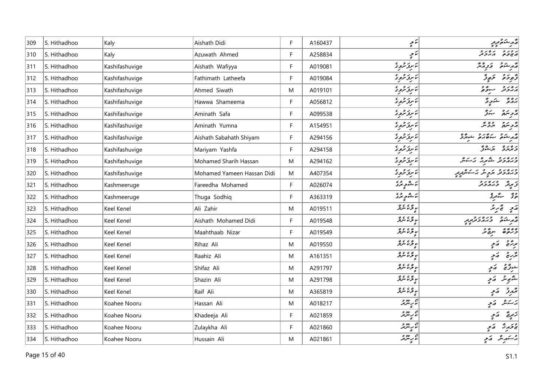| 309 | S. Hithadhoo | Kaly              | Aishath Didi               | F         | A160437 | ئىي                                        | و گهر شکوه ترتر<br>در شکوه ترتی                                                                                |
|-----|--------------|-------------------|----------------------------|-----------|---------|--------------------------------------------|----------------------------------------------------------------------------------------------------------------|
| 310 | S. Hithadhoo | Kaly              | Azuwath Ahmed              | F         | A258834 | ئىي                                        | ر ور و بره رو<br>هنگوهی میگرفتر                                                                                |
| 311 | S. Hithadhoo | Kashifashuvige    | Aishath Wafiyya            | F         | A019081 | ئەس <i>رىق ترە</i> پچ                      | ورشكا ورواد                                                                                                    |
| 312 | S. Hithadhoo | Kashifashuvige    | Fathimath Latheefa         | F         | A019084 | ئەس <i>رى ترە</i> پچ                       | وٌوِدَةٌ دَوِرٌ                                                                                                |
| 313 | S. Hithadhoo | Kashifashuvige    | Ahmed Siwath               | ${\sf M}$ | A019101 | ئەس <i>رى ترە</i> پچ                       | بر 2 د ج<br>مربر <del>5</del> فر<br>$\overline{39}$                                                            |
| 314 | S. Hithadhoo | Kashifashuvige    | Hawwa Shameema             | F         | A056812 | ئەس <i>رىق ترە</i> بچ                      | برە ئەرگە                                                                                                      |
| 315 | S. Hithadhoo | Kashifashuvige    | Aminath Safa               | F         | A099538 | ئەس <i>رىگە ترە</i> پچ                     | ۇرىسى بۇ                                                                                                       |
| 316 | S. Hithadhoo | Kashifashuvige    | Aminath Yumna              | F         | A154951 | ئەس <i>رىڭ ش</i> رىر ئى                    | أروبته وه و                                                                                                    |
| 317 | S. Hithadhoo | Kashifashuvige    | Aishath Sabahath Shiyam    | F         | A294156 | مَاسِوِرْ سْرَهِ بِرَ                      | د در د در در در ده داده<br>در شومی جوه پرمی شورگر                                                              |
| 318 | S. Hithadhoo | Kashifashuvige    | Mariyam Yashfa             | F         | A294158 | ئەبىرۇ ترەپج                               | رەرە پەشۇ                                                                                                      |
| 319 | S. Hithadhoo | Kashifashuvige    | Mohamed Sharih Hassan      | M         | A294162 | ئەبىرۇ ترەپج                               | ورەرو ئەرە ئەسەر                                                                                               |
| 320 | S. Hithadhoo | Kashifashuvige    | Mohamed Yameen Hassan Didi | M         | A407354 | ئەبرۇ ترەپج                                | ورەرو كەچ سى كەسكىرىد                                                                                          |
| 321 | S. Hithadhoo | Kashmeeruge       | Fareedha Mohamed           | F         | A026074 | ئەشھەرىرى                                  | تو المحدود المحمد المحمد المحمد المحمد المحمد المحمد المحمد المحمد المحمد المحمد المحمد المحمد المحمد المحمد ا |
| 322 | S. Hithadhoo | Kashmeeruge       | Thuga Sodhiq               | F         | A363319 | ئەشھەپچە ئە                                | ور سگھرين<br>حوتي سگھريني                                                                                      |
| 323 | S. Hithadhoo | Keel Kenel        | Ali Zahir                  | ${\sf M}$ | A019511 | ر و ، ، ، و<br>پ <sub>ر</sub> محرنه متربحه | وَمَدٍ لِمَحْرِ مِنْ                                                                                           |
| 324 | S. Hithadhoo | <b>Keel Kenel</b> | Aishath Mohamed Didi       | F         | A019548 | پەنزىقلىقىد                                | ه دشته وره دورور<br>در شهره ورد ودیویر<br>وره ه سره د                                                          |
| 325 | S. Hithadhoo | Keel Kenel        | Maahthaab Nizar            | F         | A019549 | پەنزىقلىر                                  | $\overline{\mathcal{Z}_{\alpha}^{\mathbf{z}}$                                                                  |
| 326 | S. Hithadhoo | <b>Keel Kenel</b> | Rihaz Ali                  | M         | A019550 | پەنزىر ئىرچە                               | ىدىقى<br>ئىر<br>ەكىيە                                                                                          |
| 327 | S. Hithadhoo | Keel Kenel        | Raahiz Ali                 | M         | A161351 | لبوقرة عرفه                                | بتربع<br>ەنىيە                                                                                                 |
| 328 | S. Hithadhoo | Keel Kenel        | Shifaz Ali                 | ${\sf M}$ | A291797 | اروء عدو                                   | خورٌ جُ<br>ەكىپىيە                                                                                             |
| 329 | S. Hithadhoo | <b>Keel Kenel</b> | Shazin Ali                 | ${\sf M}$ | A291798 | بېرىم ئىرو                                 | شموش مكو                                                                                                       |
| 330 | S. Hithadhoo | Keel Kenel        | Raif Ali                   | ${\sf M}$ | A365819 | ە ئەرە<br>ئەخرىكىنىش                       | بروق المنع                                                                                                     |
| 331 | S. Hithadhoo | Koahee Nooru      | Hassan Ali                 | ${\sf M}$ | A018217 | ە پەيىر<br>مەسىر                           | أيز سكاهي أركاحي                                                                                               |
| 332 | S. Hithadhoo | Koahee Nooru      | Khadeeja Ali               | F         | A021859 | ە پەتىرىر<br>ئەسپەتىرىر                    | ر<br>ترورچٌ<br>ەتىر                                                                                            |
| 333 | S. Hithadhoo | Koahee Nooru      | Zulaykha Ali               | F         | A021860 | ہ پہ دو د<br>تاریخ                         | ە ئەرگە<br>ئ                                                                                                   |
| 334 | S. Hithadhoo | Koahee Nooru      | Hussain Ali                | ${\sf M}$ | A021861 | ە پەتىرىر<br>ئاپەتىرىر                     | يز ڪمريش ڪچي                                                                                                   |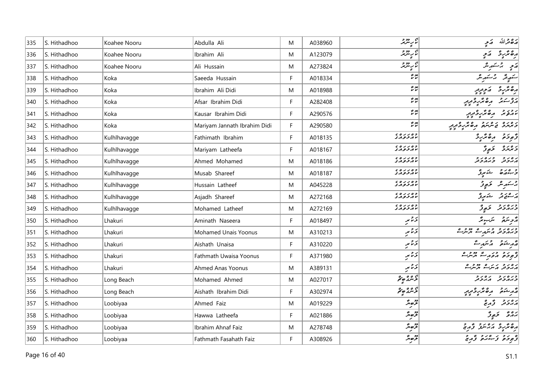| 335 | S. Hithadhoo | Koahee Nooru | Abdulla Ali                  | M  | A038960 | م پەيىرىر<br>ئىس سىرىمە                    | برءو الله<br>ەكىيە                           |
|-----|--------------|--------------|------------------------------|----|---------|--------------------------------------------|----------------------------------------------|
| 336 | S. Hithadhoo | Koahee Nooru | Ibrahim Ali                  | M  | A123079 | م پەيىر<br>ئەبەيىرىر                       | ەر ھەترىر <i>ۋ</i>                           |
| 337 | S. Hithadhoo | Koahee Nooru | Ali Hussain                  | M  | A273824 | م<br>ماريىزىر                              | أەسمج سىسكىرىند                              |
| 338 | S. Hithadhoo | Koka         | Saeeda Hussain               | F  | A018334 | $z\overline{z}$                            | برسەمەر<br>ے<br>استعصر میں<br>مستعمر         |
| 339 | S. Hithadhoo | Koka         | Ibrahim Ali Didi             | Μ  | A018988 | $\overset{\ast}{\nu}\overset{\times}{\nu}$ | $rac{2}{3}$<br>رکوتونو<br>نونونو             |
| 340 | S. Hithadhoo | Koka         | Afsar Ibrahim Didi           | F  | A282408 | $z\overline{z}$                            | ره رو ده نورورد                              |
| 341 | S. Hithadhoo | Koka         | Kausar Ibrahim Didi          | F  | A290576 | $\overset{\ast}{\nu}\overset{\times}{\nu}$ | ו כן כן פיצי פעט                             |
| 342 | S. Hithadhoo | Koka         | Mariyam Jannath Ibrahim Didi | F  | A290580 | $z\overline{z}$                            |                                              |
| 343 | S. Hithadhoo | Kulhlhavagge | Fathimath Ibrahim            | F. | A018135 | وه ر ر ه ،<br>ما پر نوار د                 | توجدة مقتررة                                 |
| 344 | S. Hithadhoo | Kulhlhavagge | Mariyam Latheefa             | F. | A018167 | و ہ ر ر ہ ،<br>ماہر نواز ت                 | پر مرد ه<br>  پر بر پر<br>تزجي تو            |
| 345 | S. Hithadhoo | Kulhlhavagge | Ahmed Mohamed                | M  | A018186 | و ہ ر ر ہ ،<br>ماہر نواز ت                 | و ر ه ر د<br>تر پروتر<br>ر ەر د<br>مەرىخىر   |
| 346 | S. Hithadhoo | Kulhlhavagge | Musab Shareef                | M  | A018187 | و ه ر ر ه ،<br>ما پر نوبر د                | و 200 شهرتو                                  |
| 347 | S. Hithadhoo | Kulhlhavagge | Hussain Latheef              | M  | A045228 | د ه ر ر ه ،<br>ماړ نوار د                  | يزحكم متوافق وتحجج فر                        |
| 348 | S. Hithadhoo | Kulhlhavagge | Asjadh Shareef               | Μ  | A272168 | و ه ر ر ه ،<br>ما پر نوبر د                | بر قائر تر میگرو                             |
| 349 | S. Hithadhoo | Kulhlhavagge | Mohamed Latheef              | M  | A272169 | د ه ر ر ه ،<br>ماړ نوار د                  | ورەرد كەر                                    |
| 350 | S. Hithadhoo | Lhakuri      | Aminath Naseera              | F  | A018497 | ائدتمعميه                                  | أزويترة سترجون                               |
| 351 | S. Hithadhoo | Lhakuri      | <b>Mohamed Unais Yoonus</b>  | M  | A310213 | تزرقمبر                                    | כנסגב בגתם מתו                               |
| 352 | S. Hithadhoo | Lhakuri      | Aishath Unaisa               | F  | A310220 | ائروبر                                     | ە ئەستىق مەسىرىت                             |
| 353 | S. Hithadhoo | Lhakuri      | Fathmath Uwaisa Yoonus       | F. | A371980 | اقتقعبه                                    | و معروف دورگ دوره                            |
| 354 | S. Hithadhoo | Lhakuri      | Ahmed Anas Yoonus            | Μ  | A389131 | ائدتمعمر                                   | י פי כ"ז היה בי כ"ם.<br>הגב ב" ה'ייצ' הייציע |
| 355 | S. Hithadhoo | Long Beach   | Mohamed Ahmed                | M  | A027017 | ترمره وپځ                                  | כנסנכ נסנכ<br>כגמכת הגכת                     |
| 356 | S. Hithadhoo | Long Beach   | Aishath Ibrahim Didi         | F  | A302974 | ترىرى ھەتر                                 | و د شوه ده و د و د د د                       |
| 357 | S. Hithadhoo | Loobiyaa     | Ahmed Faiz                   | M  | A019229 | لترجد                                      | برور و و و                                   |
| 358 | S. Hithadhoo | Loobiyaa     | Hawwa Latheefa               | F. | A021886 | دو<br>موھور                                | پروڅ څېړنځ                                   |
| 359 | S. Hithadhoo | Loobiyaa     | Ibrahim Ahnaf Faiz           | Μ  | A278748 | ود<br>محرض مر                              | معترد مدسر ومر                               |
| 360 | S. Hithadhoo | Loobiyaa     | Fathmath Fasahath Faiz       | F  | A308926 | تژه پژ                                     | و د د په د د د د                             |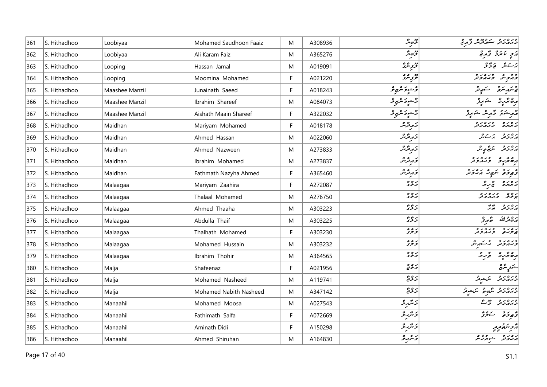| 361 | S. Hithadhoo | Loobiyaa       | Mohamed Saudhoon Faaiz | M           | A308936 | ود<br>محرض مر                  | وره د و پرودوه و د ه                                |
|-----|--------------|----------------|------------------------|-------------|---------|--------------------------------|-----------------------------------------------------|
| 362 | S. Hithadhoo | Loobiyaa       | Ali Karam Faiz         | M           | A365276 | لترجد                          | أزمي لأترق وزمرج                                    |
| 363 | S. Hithadhoo | Looping        | Hassan Jamal           | M           | A019091 | فخزيره                         | بر کے مخت                                           |
| 364 | S. Hithadhoo | Looping        | Moomina Mohamed        | F.          | A021220 | لخزبر مره                      | وور ورەرو                                           |
| 365 | S. Hithadhoo | Maashee Manzil | Junainath Saeed        | F           | A018243 | ئۇھ <sub>ي</sub> رى ئىزىمى<br> | في سكر سكو سكور مكر و حكمر الم                      |
| 366 | S. Hithadhoo | Maashee Manzil | Ibrahim Shareef        | M           | A084073 | ۇھودىرىمۇ                      | رەپزىرە شىرو                                        |
| 367 | S. Hithadhoo | Maashee Manzil | Aishath Maain Shareef  | F           | A322032 | ۇ <sub>ھېي</sub> ۇ تىرىم ۋ     | و<br>درخو ژوند خوبر                                 |
| 368 | S. Hithadhoo | Maidhan        | Mariyam Mohamed        | F           | A018178 | خەرقرىتر                       | נסנס כנסנכ<br>כ <i>אתכ כג</i> וכנ                   |
| 369 | S. Hithadhoo | Maidhan        | Ahmed Hassan           | M           | A022060 | ځېږمتر شر                      | رەرد برخش                                           |
| 370 | S. Hithadhoo | Maidhan        | Ahmed Nazween          | M           | A273833 | ځېږمتر شر                      | رەرد سەم ئىر                                        |
| 371 | S. Hithadhoo | Maidhan        | Ibrahim Mohamed        | M           | A273837 | ئەر بۇ بۇ                      | ת היי כלחבת                                         |
| 372 | S. Hithadhoo | Maidhan        | Fathmath Nazyha Ahmed  | $\mathsf F$ | A365460 | ئەر بۇ بۇ                      | توجدة تتبيء كالمدد                                  |
| 373 | S. Hithadhoo | Malaagaa       | Mariyam Zaahira        | F           | A272087 | ۇ ئەت                          | و ده ده و پخ د پگر                                  |
| 374 | S. Hithadhoo | Malaagaa       | Thalaal Mohamed        | M           | A276750 | ریز                            | ر ور در در                                          |
| 375 | S. Hithadhoo | Malaagaa       | Ahmed Thaaha           | M           | A303223 | وثور                           | رەر دە                                              |
| 376 | S. Hithadhoo | Malaagaa       | Abdulla Thaif          | M           | A303225 | تربیجی                         | پره ترالله گجرمرمر                                  |
| 377 | S. Hithadhoo | Malaagaa       | Thalhath Mohamed       | $\mathsf F$ | A303230 | ریز                            | נסנד בנסנד<br>הזמנים במחבת                          |
| 378 | S. Hithadhoo | Malaagaa       | Mohamed Hussain        | M           | A303232 | وثور                           | ورەرو ورىدىر                                        |
| 379 | S. Hithadhoo | Malaagaa       | Ibrahim Thohir         | M           | A364565 | وثرد                           | 7.7.2.2.2.1                                         |
| 380 | S. Hithadhoo | Malja          | Shafeenaz              | $\mathsf F$ | A021956 | ر ہ<br>تر بوق                  | خور پارچ<br>مشتر پارچ                               |
| 381 | S. Hithadhoo | Malja          | Mohamed Nasheed        | M           | A119741 | تزنونج                         | ورەرو شرشونر<br><i>وبە</i> رونر شرش <sub>و</sub> نر |
| 382 | S. Hithadhoo | Malja          | Mohamed Nabith Nasheed | M           | A347142 | ترەپچ                          | ورەرو شەم سەمد                                      |
| 383 | S. Hithadhoo | Manaahil       | Mohamed Moosa          | Μ           | A027543 | ۇ ئىرىر بۇ                     | ورەر دورم                                           |
| 384 | S. Hithadhoo | Manaahil       | Fathimath Salfa        | F           | A072669 | ۇيۇرۇ                          | توجدة سنور                                          |
| 385 | S. Hithadhoo | Manaahil       | Aminath Didi           | F           | A150298 | ۇيۇرۇ                          | ا<br>اگرچر سرچ توپو                                 |
| 386 | S. Hithadhoo | Manaahil       | Ahmed Shiruhan         | M           | A164830 | ۇ ئېزىر بۇ                     | رەرە ھەر <i>وش</i> ۇر                               |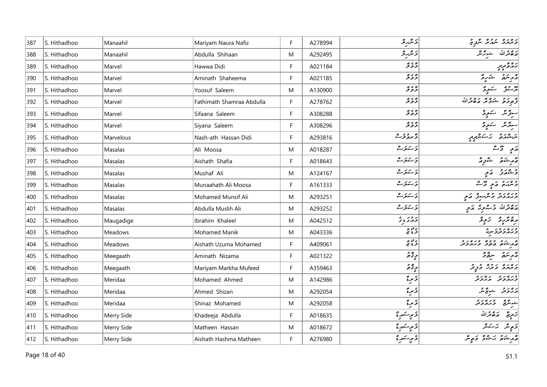| 387 | S. Hithadhoo | Manaahil       | Mariyam Naura Nafiz       | $\mathsf F$ | A278994 | ئەنئەر بۇ                   | دورو تردیم ترزیح                                                            |
|-----|--------------|----------------|---------------------------|-------------|---------|-----------------------------|-----------------------------------------------------------------------------|
| 388 | S. Hithadhoo | Manaahil       | Abdulla Shihaan           | M           | A292495 | ۇ ئېزىر ۋ                   | حەمىراللە ھەر مىر                                                           |
| 389 | S. Hithadhoo | Marvel         | Hawwa Didi                | F           | A021184 | پر ہ<br>تر تر تر            | رە بە<br>بەھەتە بەير                                                        |
| 390 | S. Hithadhoo | Marvel         | Aminath Shaheema          | F           | A021185 | پر ہ<br>تر بر تر            | $\begin{array}{ccc}\n & 2 & 3 \\ 5 & 2 & 3 \\ \hline\n& 2 & 3\n\end{array}$ |
| 391 | S. Hithadhoo | Marvel         | Yoosuf Saleem             | M           | A130900 | پر ہ<br>تر بر تر            |                                                                             |
| 392 | S. Hithadhoo | Marvel         | Fathimath Shamraa Abdulla | F           | A278762 | پر ہ<br>تر بر تر            | وتجمع والمحمد الملاحي والله                                                 |
| 393 | S. Hithadhoo | Marvel         | Sifaana Saleem            | $\mathsf F$ | A308288 | پر ہ<br>تر بو تو            | سوژنئر   سنوچ                                                               |
| 394 | S. Hithadhoo | Marvel         | Siyana Saleem             | F           | A308296 | پر ہ<br>تر بو تو            |                                                                             |
| 395 | S. Hithadhoo | Marvelous      | Nash-ath Hassan Didi      | F           | A293816 | ۇ برە ئۇر                   |                                                                             |
| 396 | S. Hithadhoo | Masalas        | Ali Moosa                 | M           | A018287 | ى سەئى <sup>م</sup> شە      | $\begin{array}{c} 2 \overline{3} \\ -2 \overline{3} \\ 3 \end{array}$       |
| 397 | S. Hithadhoo | Masalas        | Aishath Shafia            | F           | A018643 | ئەسەئەت بە                  | و د شود شوده.<br>م                                                          |
| 398 | S. Hithadhoo | Masalas        | Mushaf Ali                | M           | A124167 | ى ئەنزىشە                   | $\frac{1}{2}$                                                               |
| 399 | S. Hithadhoo | Masalas        | Munaahath Ali Moosa       | F           | A161333 | ى ئەنزىشە                   |                                                                             |
| 400 | S. Hithadhoo | <b>Masalas</b> | Mohamed Munsif Ali        | M           | A293251 | ى سەئەت بە                  | ورورو وعربيو كمو                                                            |
| 401 | S. Hithadhoo | Masalas        | Abdulla Muslih Ali        | M           | A293252 | ى سەئەت بە                  | رَهُ مِنْ اللَّهُ حَرْ فَوَقِهِ مَعْ مِنْ                                   |
| 402 | S. Hithadhoo | Maugadige      | Ibrahim Khaleel           | M           | A042512 | ر در<br>درد و د             | رەپرىر ئېرو                                                                 |
| 403 | S. Hithadhoo | Meadows        | Mohamed Manik             | M           | A043336 | 222                         | وره رور پره<br>د پرووترو سره                                                |
| 404 | S. Hithadhoo | <b>Meadows</b> | Aishath Uzuma Mohamed     | F           | A409061 | 282                         | و مشو ووه وره دو                                                            |
| 405 | S. Hithadhoo | Meegaath       | Aminath Nizama            | F.          | A021322 | ح تخ <sup>9</sup><br>تح     | أأزويتمو بترفوق                                                             |
| 406 | S. Hithadhoo | Meegaath       | Mariyam Markha Mufeed     | $\mathsf F$ | A359463 | <br>حي <sup>ائ</sup> و حو   | גםגם גבה כ <sub>ב</sub> ב                                                   |
| 407 | S. Hithadhoo | Meridaa        | Mohamed Ahmed             | M           | A142986 | خبرةً                       | כנסנכ נסנכ<br>כגמכנג הגבנג                                                  |
| 408 | S. Hithadhoo | Meridaa        | Ahmed Shizan              | M           | A292054 | خبرءً                       | رەرد جوڭلار                                                                 |
| 409 | S. Hithadhoo | Meridaa        | Shinaz Mohamed            | M           | A292058 | خبرة                        | خوشرج وبروبرد                                                               |
| 410 | S. Hithadhoo | Merry Side     | Khadeeja Abdulla          | F           | A018635 | ۇ بېرىسىد <sup>ە</sup><br>ئ | تَ <b>سِيَّةً 1200</b> \$                                                   |
| 411 | S. Hithadhoo | Merry Side     | Matheen Hassan            | M           | A018672 | ء <i>کی پرسک</i> ور ؟<br>م  | ۇمچىر بەسكىر                                                                |
| 412 | S. Hithadhoo | Merry Side     | Aishath Hashma Matheen    | F           | A276980 | ې <sub>مو</sub> ر سره و     | أمر منعو بمشرق وكموش                                                        |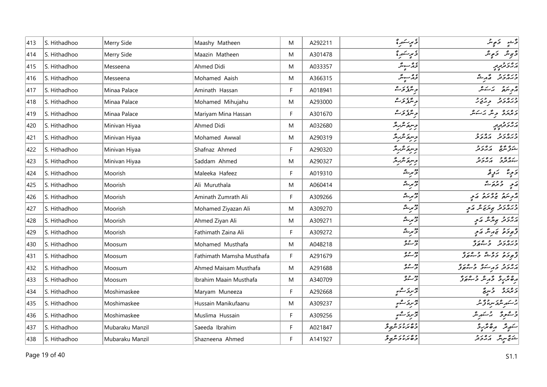| 413 | S. Hithadhoo | Merry Side      | Maashy Matheen            | M         | A292211 | ئەسپەسىمبە ق                                           | دخم شخص میں دیکر<br>  دخمی سی           |
|-----|--------------|-----------------|---------------------------|-----------|---------|--------------------------------------------------------|-----------------------------------------|
| 414 | S. Hithadhoo | Merry Side      | Maazin Matheen            | M         | A301478 | ء <i>کی سن</i> ہر ہ                                    | تحي شركت تحريمه                         |
| 415 | S. Hithadhoo | Messeena        | Ahmed Didi                | ${\sf M}$ | A033357 | ا دو سوېتر<br>د کم                                     | <br>  پر ژ د تر تر تر<br>  ژ            |
| 416 | S. Hithadhoo | Messeena        | Mohamed Aaish             | M         | A366315 | ە ھەسەپىر<br>ج                                         | כממכנה האילי                            |
| 417 | S. Hithadhoo | Minaa Palace    | Aminath Hassan            | F         | A018941 | احرشذ بخرجه                                            | ۇ ئىستى ئەسكىش                          |
| 418 | S. Hithadhoo | Minaa Palace    | Mohamed Mihujahu          | M         | A293000 | <sub>ج</sub> ېترو ځر شه                                | כנסנכ כנב                               |
| 419 | S. Hithadhoo | Minaa Palace    | Mariyam Mina Hassan       | F         | A301670 | <sub>ج</sub> ېترو ځر شه                                | ويرود وتكر بمكسك                        |
| 420 | S. Hithadhoo | Minivan Hiyaa   | <b>Ahmed Didi</b>         | M         | A032680 | <sub>جەسرى</sub> ئىرىدۇ.                               | پر ہ بر د<br>پر بر <del>ت</del> ر تر تر |
| 421 | S. Hithadhoo | Minivan Hiyaa   | Mohamed Awwal             | ${\sf M}$ | A290319 | ا <sub>ح</sub> سرهٔ شریدگر<br>پ                        | כנסנכ נסנכ<br>כגמכ <mark>ט ממפי</mark>  |
| 422 | S. Hithadhoo | Minivan Hiyaa   | Shafnaz Ahmed             | F         | A290320 | جەس <sub>ى</sub> مە ئىرىدىگە                           | شۇر شىم بەردىر                          |
| 423 | S. Hithadhoo | Minivan Hiyaa   | Saddam Ahmed              | M         | A290327 | ا د سرهٔ شریر<br>مسر                                   | رەپ رەرد                                |
| 424 | S. Hithadhoo | Moorish         | Maleeka Hafeez            | F         | A019310 | وحمريثه                                                | كالمحافظ المتمام وهي                    |
| 425 | S. Hithadhoo | Moorish         | Ali Muruthala             | ${\sf M}$ | A060414 | وحمريثه                                                | ړې د درې                                |
| 426 | S. Hithadhoo | Moorish         | Aminath Zumrath Ali       | F         | A309266 | وحمريثه                                                | הקיים בכמם הי                           |
| 427 | S. Hithadhoo | Moorish         | Mohamed Ziyazan Ali       | M         | A309270 | وحمرت                                                  | ورورو برتر مريم مريح                    |
| 428 | S. Hithadhoo | Moorish         | Ahmed Ziyan Ali           | ${\sf M}$ | A309271 | وحمرڪ                                                  | بره برد به پژنگر مَهْ په                |
| 429 | S. Hithadhoo | Moorish         | Fathimath Zaina Ali       | F         | A309272 | وحمر يثمر                                              | قهوخو تمرش وتمي                         |
| 430 | S. Hithadhoo | Moosum          | Mohamed Musthafa          | M         | A048218 | دد وه                                                  | وره ده و ه دره<br>ورمادتر و سوو         |
| 431 | S. Hithadhoo | Moosum          | Fathimath Mamsha Musthafa | F         | A291679 | ورميوه                                                 | توجده ده شکوره دو                       |
| 432 | S. Hithadhoo | Moosum          | Ahmed Maisam Musthafa     | ${\sf M}$ | A291688 | وديره                                                  |                                         |
| 433 | S. Hithadhoo | Moosum          | Ibrahim Maain Musthafa    | M         | A340709 | وديره                                                  |                                         |
| 434 | S. Hithadhoo | Moshimaskee     | Maryam Muneeza            | F         | A292668 | بي <sub>سم</sub> ر چې کلمبر<br>مور <u>ک</u>            | د وره و سر                              |
| 435 | S. Hithadhoo | Moshimaskee     | Hussain Manikufaanu       | ${\sf M}$ | A309237 | لخ برځه شمېر                                           | جەسەم بىرى ئىرى <i>نى</i> ئىس           |
| 436 | S. Hithadhoo | Moshimaskee     | Muslima Hussain           | F         | A309256 | پرېږ <i>و ش</i> مړ                                     | وصوفح الاستهرهر                         |
| 437 | S. Hithadhoo | Mubaraku Manzil | Saeeda Ibrahim            | F         | A021847 | د در دره و و                                           | سكويتر وهتربرد                          |
| 438 | S. Hithadhoo | Mubaraku Manzil | Shazneena Ahmed           | F         | A141927 | د د بر د بر ه<br>د <i>ه بر ب</i> ر د سر <sub>ي</sub> د | أشكاه سريش وكالمروار                    |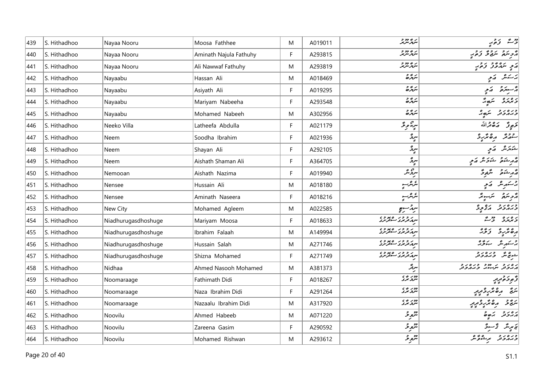| 439 | S. Hithadhoo | Nayaa Nooru         | Moosa Fathhee          | M  | A019011 | بر پر دو و<br>سربر سربر                  | 25/27                                                        |
|-----|--------------|---------------------|------------------------|----|---------|------------------------------------------|--------------------------------------------------------------|
| 440 | S. Hithadhoo | Nayaa Nooru         | Aminath Najula Fathuhy | F. | A293815 | ر پر دو و<br>سربر سربر                   | و ده ده و ده.                                                |
| 441 | S. Hithadhoo | Nayaa Nooru         | Ali Nawwaf Fathuhy     | M  | A293819 | ر پر دو و<br>سربر سربر                   | ر موسم دي.<br>موسم موسمون دي.                                |
| 442 | S. Hithadhoo | Nayaabu             | Hassan Ali             | M  | A018469 | سروره                                    | أيز ستاها أمامي                                              |
| 443 | S. Hithadhoo | Nayaabu             | Asiyath Ali            | F  | A019295 | سرور                                     | و سوره و کړ                                                  |
| 444 | S. Hithadhoo | Nayaabu             | Mariyam Nabeeha        | F  | A293548 | سرور                                     | سرّەر<br>ر ه ر ه<br><del>ر</del> بربرگ                       |
| 445 | S. Hithadhoo | Nayaabu             | Mohamed Nabeeh         | M  | A302956 | سروح                                     | ورەرو شھر                                                    |
| 446 | S. Hithadhoo | Neeko Villa         | Latheefa Abdulla       | F  | A021179 | ىيرىئا <sub>ھە</sub> ئە                  | كجعيوقر ضكاه تدالله                                          |
| 447 | S. Hithadhoo | Neem                | Soodha Ibrahim         | F  | A021936 | سرچ                                      | $rac{2}{3}$                                                  |
| 448 | S. Hithadhoo | <b>Neem</b>         | Shayan Ali             | F  | A292105 | سرچ                                      | أختمرش كمتعي                                                 |
| 449 | S. Hithadhoo | Neem                | Aishath Shaman Ali     | F. | A364705 | سرچ                                      | مەر شىم ئىسكى مەر                                            |
| 450 | S. Hithadhoo | Nemooan             | Aishath Nazima         | F  | A019940 | سردگر                                    | ۇرىشى ئىبرۇ                                                  |
| 451 | S. Hithadhoo | Nensee              | Hussain Ali            | M  | A018180 | یگریگریے                                 | برستهر شر                                                    |
| 452 | S. Hithadhoo | Nensee              | Aminath Naseera        | F  | A018216 | یگریگر<br>پخ                             | ۇ جەمئە ئەسىر ئىسىر                                          |
| 453 | S. Hithadhoo | New City            | Mohamed Agleem         | M  | A022585 | سرژے جا                                  | ورەرو رەپو                                                   |
| 454 | S. Hithadhoo | Niadhurugasdhoshuge | Mariyam Moosa          | F. | A018633 | ر و و ر ۔ ه پر و ،<br>سمدتریمری سسوترین  | د ه ده دورم                                                  |
| 455 | S. Hithadhoo | Niadhurugasdhoshuge | Ibrahim Falaah         | M  | A149994 | ر و و ر ۔ ه یو و ،<br>سروکریمری سسوتوسری | دە ئەر ئۇن                                                   |
| 456 | S. Hithadhoo | Niadhurugasdhoshuge | Hussain Salah          | M  | A271746 | ر و و ر ۔ ه پر و ،<br>سمدندیری سونرس     | برسكهر شركوه                                                 |
| 457 | S. Hithadhoo | Niadhurugasdhoshuge | Shizna Mohamed         | F. | A271749 | ر و و ر ۔ ه پر و ،<br>سمدندیری سنترس     | ے چین ورہ رو<br>ے چین ویرمرونر                               |
| 458 | S. Hithadhoo | Nidhaa              | Ahmed Nasooh Mohamed   | M  | A381373 | سريگر                                    | ג סג כן ג כב כג סג כן<br>ג'ג כנג ייצי <del>י ג'ג</del> כג בי |
| 459 | S. Hithadhoo | Noomaraage          | Fathimath Didi         | F  | A018267 | وور بر بر<br>سرچ بور                     | تر مجر حركت تحريب                                            |
| 460 | S. Hithadhoo | Noomaraage          | Naza Ibrahim Didi      | F  | A291264 | وور بر بر<br>سرچ بوی                     | ىدى مەھەر ئەھمەدىرىد                                         |
| 461 | S. Hithadhoo | Noomaraage          | Nazaalu Ibrahim Didi   | M  | A317920 | وور بر پر<br>سرچ مر <sub>ک</sub>         | برود مقتر ومرمر                                              |
| 462 | S. Hithadhoo | Noovilu             | Ahmed Habeeb           | M  | A071220 | يتروخه                                   | رەر بەر                                                      |
| 463 | S. Hithadhoo | Noovilu             | Zareena Gasim          | F. | A290592 | يتروخه                                   | ىم بىر بىگە ئۇسىر 3                                          |
| 464 | S. Hithadhoo | Noovilu             | Mohamed Rishwan        | M  | A293612 | يتروخه                                   | ورەرو برھەم<br><i>ويەم</i> وتر برىشو <i>ۋ</i> ىر             |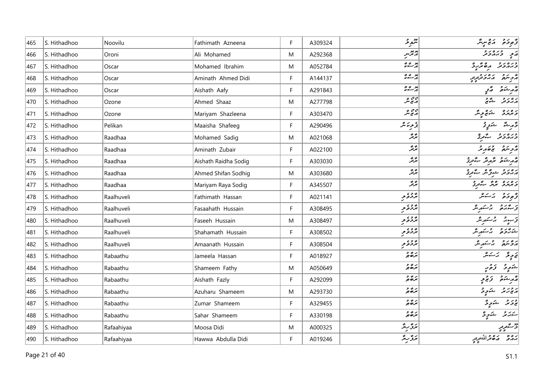| 465 | S. Hithadhoo | Noovilu    | Fathimath Azneena    | F         | A309324 | يتروخه              | توجوجو متحسبة                             |
|-----|--------------|------------|----------------------|-----------|---------|---------------------|-------------------------------------------|
| 466 | S. Hithadhoo | Oroni      | Ali Mohamed          | M         | A292368 | لرئبر مبر           | پر دره دو                                 |
| 467 | S. Hithadhoo | Oscar      | Mohamed Ibrahim      | M         | A052784 | دره پژ              |                                           |
| 468 | S. Hithadhoo | Oscar      | Aminath Ahmed Didi   | F         | A144137 | دره پر              | أوسم أكرار والمعروب                       |
| 469 | S. Hithadhoo | Oscar      | Aishath Aafy         | F         | A291843 | مره پو              |                                           |
| 470 | S. Hithadhoo | Ozone      | Ahmed Shaaz          | M         | A277798 | پر چ پر             | رەرد شەر                                  |
| 471 | S. Hithadhoo | Ozone      | Mariyam Shazleena    | F         | A303470 | 20 ص<br>م           | ويوره<br>ے کے م <sub>جے</sub> مگر         |
| 472 | S. Hithadhoo | Pelikan    | Maaisha Shafeeg      | F         | A290496 | ومحر تدعر           | أَوَّرِ مَّةً مَسَوِّرَةً                 |
| 473 | S. Hithadhoo | Raadhaa    | Mohamed Sadiq        | ${\sf M}$ | A021068 | پر<br>برگر          | ورەرو بەرە                                |
| 474 | S. Hithadhoo | Raadhaa    | Aminath Zubair       | F         | A022100 | بۇقر                | Egypt Brand                               |
| 475 | S. Hithadhoo | Raadhaa    | Aishath Raidha Sodig | F         | A303030 | بڑوگر               | و<br>ورشو تروتر شور                       |
| 476 | S. Hithadhoo | Raadhaa    | Ahmed Shifan Sodhig  | ${\sf M}$ | A303680 | بڑڈ                 | رەر ئ <sub>ەرگ</sub> ىر بەرت <sub>ۇ</sub> |
| 477 | S. Hithadhoo | Raadhaa    | Mariyam Raya Sodig   | F         | A345507 | بۇقر                | رەرە بۇ ئەر                               |
| 478 | S. Hithadhoo | Raalhuveli | Fathimath Hassan     | F         | A021141 | بردء                | قرم قالم تراكيم المستور                   |
| 479 | S. Hithadhoo | Raalhuveli | Fasaahath Hussain    | F         | A308495 | بردء                | كر عرد و حرمه                             |
| 480 | S. Hithadhoo | Raalhuveli | Faseeh Hussain       | M         | A308497 | پر ژه مو            | أؤسية المرشر مر                           |
| 481 | S. Hithadhoo | Raalhuveli | Shahamath Hussain    | F         | A308502 | بۇ دې<br>ئىرگە ئو   | شرورو وكرهر                               |
| 482 | S. Hithadhoo | Raalhuveli | Amaanath Hussain     | F         | A308504 | یژ ژه بر<br>برگرو م | رورو ومتهر                                |
| 483 | S. Hithadhoo | Rabaathu   | Jameela Hassan       | F         | A018927 | ر د د<br>برخ ج      | ائەچە ئەسكەنگە                            |
| 484 | S. Hithadhoo | Rabaathu   | Shameem Fathy        | M         | A050649 | ر د د<br>برخ ج      | المشورة وكمحدر                            |
| 485 | S. Hithadhoo | Rabaathu   | Aishath Fazly        | F         | A292099 | ر د د<br>برخ م      | و ديده دي.<br>د مشهور و دي پو             |
| 486 | S. Hithadhoo | Rabaathu   | Azuharu Shameem      | ${\sf M}$ | A293730 | ر د د<br>برخ م      |                                           |
| 487 | S. Hithadhoo | Rabaathu   | Zumar Shameem        | F         | A329455 | ر د د<br>برخ م      | ة در حرود                                 |
| 488 | S. Hithadhoo | Rabaathu   | Sahar Shameem        | F         | A330198 | ر د د<br>برخ ج      | ستهتر<br>شَدَرٍ وُ                        |
| 489 | S. Hithadhoo | Rafaahiyaa | Moosa Didi           | M         | A000325 | بحرقر سرتر          | <br> تر گ <sub>ورور</sub><br>* * *        |
| 490 | S. Hithadhoo | Rafaahiyaa | Hawwa Abdulla Didi   | F         | A019246 | بخرقر سرتر          | ره و حق اللّه مرمر                        |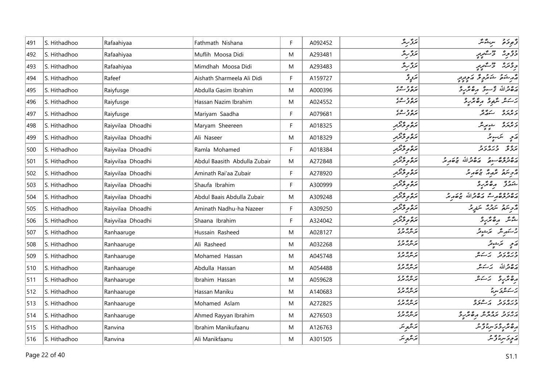| 491 | S. Hithadhoo | Rafaahiyaa        | Fathmath Nishana             | F  | A092452 | ىر ۋىر ب <sup>ە</sup> ر               | ۇي <sub>م</sub> وتى سىشىگە<br>مەسىمى                      |
|-----|--------------|-------------------|------------------------------|----|---------|---------------------------------------|-----------------------------------------------------------|
| 492 | S. Hithadhoo | Rafaahiyaa        | Muflih Moosa Didi            | M  | A293481 | برؤرثر                                |                                                           |
| 493 | S. Hithadhoo | Rafaahiyaa        | Mimdhah Moosa Didi           | M  | A293483 | ئىر ئ <sup>ە</sup> ر ب <sup>ە</sup> ر | و دره در محرور<br>در در در محرور                          |
| 494 | S. Hithadhoo | Rafeef            | Aishath Sharmeela Ali Didi   | F. | A159727 | ىرَدٍ ژ                               | ر<br>په شکو شکرو د کارون                                  |
| 495 | S. Hithadhoo | Raiyfusge         | Abdulla Gasim Ibrahim        | M  | A000396 | بره و ه ه ،<br>برجونو سور             | رەداللە تۇسود مەھرىپود                                    |
| 496 | S. Hithadhoo | Raiyfusge         | Hassan Nazim Ibrahim         | M  | A024552 | ر ه د ه ه<br>بروز سوړ                 | ر<br>پرسش شرفی مقامری                                     |
| 497 | S. Hithadhoo | Raiyfusge         | Mariyam Saadha               | F  | A079681 | ره و ه ه ،<br>بروز سور                | ر ہ ر ہ<br>تر بربر تر<br>سە پەرتىر                        |
| 498 | S. Hithadhoo | Raiyvilaa Dhoadhi | Maryam Sheereen              | F. | A018325 | برة و دمحور                           | ر ه ر ه<br><del>ر</del> بربرگ<br>ے مربگر<br><u>سے ت</u> ح |
| 499 | S. Hithadhoo | Raiyvilaa Dhoadhi | Ali Naseer                   | M  | A018329 | برهم ومحمر                            | أەسم مىز مىز                                              |
| 500 | S. Hithadhoo | Raiyvilaa Dhoadhi | Ramla Mohamed                | F. | A018384 | برة ويؤثرور                           | رە د<br>برونۇ<br>ور ه ر و<br>تر پروتر                     |
| 501 | S. Hithadhoo | Raiyvilaa Dhoadhi | Abdul Baasith Abdulla Zubair | M  | A272848 | بره و ڈنڈمر                           | ره وه در ده ورانه ور در و                                 |
| 502 | S. Hithadhoo | Raiyvilaa Dhoadhi | Aminath Rai'aa Zubair        | F. | A278920 | بره و ڈنڈمر                           | הכתב תגה בסתיב                                            |
| 503 | S. Hithadhoo | Raiyvilaa Dhoadhi | Shaufa Ibrahim               | F. | A300999 | رە مەمۇرى<br>ئىرمۇمۇقىرىس             | $5 - 20 - 37 - 20$                                        |
| 504 | S. Hithadhoo | Raiyvilaa Dhoadhi | Abdul Baais Abdulla Zubair   | M  | A309248 | بره و د ژمرمر                         | رەدە ئەر ئەھەراللە بى ئەرب                                |
| 505 | S. Hithadhoo | Raiyvilaa Dhoadhi | Aminath Nadhu-ha Nazeer      | F  | A309250 | بره و ڈنڈمر                           | أأدوسكم استكرك استوله                                     |
| 506 | S. Hithadhoo | Raiyvilaa Dhoadhi | Shaana Ibrahim               | F. | A324042 | بره و ترمر                            | شَرَّ رەئىر                                               |
| 507 | S. Hithadhoo | Ranhaaruge        | Hussain Rasheed              | M  | A028127 | ر ه ۶ و ،<br>بر مررتمبری              | چرىكىرىكى ئېرىشوقر                                        |
| 508 | S. Hithadhoo | Ranhaaruge        | Ali Rasheed                  | M  | A032268 | ر ه ۶ و ،<br>بر مررتمبری              | ر<br>مرکز مرشوفر                                          |
| 509 | S. Hithadhoo | Ranhaaruge        | Mohamed Hassan               | M  | A045748 | ر ہ بر د ،<br>برس پر بری              | ورەرو پەسكىر                                              |
| 510 | S. Hithadhoo | Ranhaaruge        | Abdulla Hassan               | M  | A054488 | ر ۵ ۵ و ۷<br>برس پر بری               | رەقراللە ئەكتەر                                           |
| 511 | S. Hithadhoo | Ranhaaruge        | Ibrahim Hassan               | M  | A059628 | ر ه ۶ و ،<br>بر مررتمبری              | رەنزىر ئەسەر                                              |
| 512 | S. Hithadhoo | Ranhaaruge        | Hassan Maniku                | M  | A140683 | ر ہ بر د ،<br>برس پر بری              | بر کے مرکز سربر                                           |
| 513 | S. Hithadhoo | Ranhaaruge        | Mohamed Aslam                | M  | A272825 | ر ه ۶ و ،<br>بر مررتمبری              | ورەرو برەرە                                               |
| 514 | S. Hithadhoo | Ranhaaruge        | Ahmed Rayyan Ibrahim         | M  | A276503 | ر ه ۶ و ،<br>بر مررتمبری              | גם גב גם הם הם הביק כ                                     |
| 515 | S. Hithadhoo | Ranvina           | Ibrahim Manikufaanu          | M  | A126763 | ترىثرە بىر                            | ەھ ئەس <i>ر 25 سرى</i> توگىر                              |
| 516 | S. Hithadhoo | Ranvina           | Ali Manikfaanu               | M  | A301505 | برمره يئر                             | ارىپە ئەس <i>رىدى</i><br>سەسىرىدىن ئەس                    |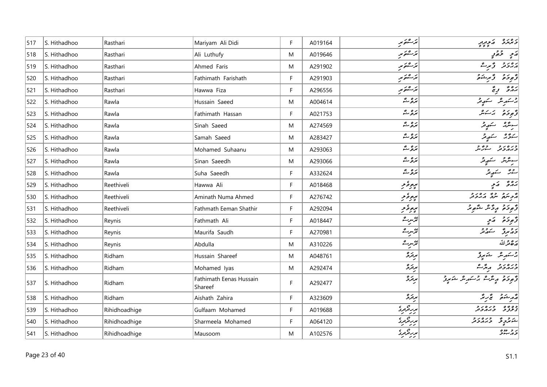| 517 | S. Hithadhoo | Rasthari      | Mariyam Ali Didi                   | F. | A019164 | بئر شفونبر                | ره ره که دیربر<br>د بربرد که دوربر                                                                                                                                                                                              |
|-----|--------------|---------------|------------------------------------|----|---------|---------------------------|---------------------------------------------------------------------------------------------------------------------------------------------------------------------------------------------------------------------------------|
| 518 | S. Hithadhoo | Rasthari      | Ali Luthufy                        | M  | A019646 | ئەر ھەكىمىيە              |                                                                                                                                                                                                                                 |
| 519 | S. Hithadhoo | Rasthari      | Ahmed Faris                        | M  | A291902 | ابتر شفوسر                | ړنو ووړنې<br>درورو ژبرت                                                                                                                                                                                                         |
| 520 | S. Hithadhoo | Rasthari      | Fathimath Farishath                | F  | A291903 | بئر شفوس                  | والمجاورة والمتماسكرة                                                                                                                                                                                                           |
| 521 | S. Hithadhoo | Rasthari      | Hawwa Fiza                         | F  | A296556 | بئر ڪھ پير                | أبرونج ويح                                                                                                                                                                                                                      |
| 522 | S. Hithadhoo | Rawla         | Hussain Saeed                      | M  | A004614 | ىرە بەيجە                 | ج سەر شەر سەر بىر                                                                                                                                                                                                               |
| 523 | S. Hithadhoo | Rawla         | Fathimath Hassan                   | F. | A021753 | ىرە بە                    | ۋە ئەسەھ                                                                                                                                                                                                                        |
| 524 | S. Hithadhoo | Rawla         | Sinah Saeed                        | M  | A274569 | ىرە بە                    | 120 - 120 - 120 - 120 - 120 - 120 - 120 - 120 - 120 - 120 - 120 - 120 - 120 - 120 - 120 - 120 - 120 - 120 - 12<br>- 120 - 120 - 120 - 120 - 120 - 120 - 120 - 120 - 120 - 120 - 120 - 120 - 120 - 120 - 120 - 120 - 120 - 120 - |
| 525 | S. Hithadhoo | Rawla         | Samah Saeed                        | M  | A283427 | ىرە شە                    |                                                                                                                                                                                                                                 |
| 526 | S. Hithadhoo | Rawla         | Mohamed Suhaanu                    | M  | A293063 | ىرە بەيجە                 | ورەرو دەر                                                                                                                                                                                                                       |
| 527 | S. Hithadhoo | Rawla         | Sinan Saeedh                       | Μ  | A293066 | ىرە بە                    | سىرتىر كىرىدىگر<br>مە                                                                                                                                                                                                           |
| 528 | S. Hithadhoo | Rawla         | Suha Saeedh                        | F  | A332624 | ىرە بە<br>ئىرە سە         |                                                                                                                                                                                                                                 |
| 529 | S. Hithadhoo | Reethiveli    | Hawwa Ali                          | F  | A018468 | ېره ده کو                 | 54.301                                                                                                                                                                                                                          |
| 530 | S. Hithadhoo | Reethiveli    | Aminath Numa Ahmed                 | F. | A276742 | ېږه ه کو                  | י גב בי גם גב<br>גביעה יעד גמבת                                                                                                                                                                                                 |
| 531 | S. Hithadhoo | Reethiveli    | Fathmath Eeman Shathir             | F. | A292094 | برە ۋىر<br>ئ              | و و دو مرو مه مشهور                                                                                                                                                                                                             |
| 532 | S. Hithadhoo | Reynis        | Fathmath Ali                       | F  | A018447 | عئ <i>رسر</i><br> -<br>مر |                                                                                                                                                                                                                                 |
| 533 | S. Hithadhoo | Reynis        | Maurifa Saudh                      | F. | A270981 | عمر سر<br> <br>مر         | سە ھەقىر                                                                                                                                                                                                                        |
| 534 | S. Hithadhoo | Reynis        | Abdulla                            | M  | A310226 | ع<br>مرس                  | برە دالله                                                                                                                                                                                                                       |
| 535 | S. Hithadhoo | Ridham        | Hussain Shareef                    | M  | A048761 | ىرىزد                     | چە سەر ھەر ئەيدۇ                                                                                                                                                                                                                |
| 536 | S. Hithadhoo | Ridham        | Mohamed Iyas                       | M  | A292474 | ىرىزد                     | כנסגב גולם                                                                                                                                                                                                                      |
| 537 | S. Hithadhoo | Ridham        | Fathimath Eenas Hussain<br>Shareef | F. | A292477 | ىرىزد                     | ژوده پرس پرسرس خبرد                                                                                                                                                                                                             |
| 538 | S. Hithadhoo | Ridham        | Aishath Zahira                     | F. | A323609 | برترو                     | وأوجده وأرتمر                                                                                                                                                                                                                   |
| 539 | S. Hithadhoo | Rihidhoadhige | Gulfaam Mohamed                    | F. | A019688 | ىرىرى<br>مرىر قرىرى       | وه ده وره رو<br>تحرفر وبرمرونر                                                                                                                                                                                                  |
| 540 | S. Hithadhoo | Rihidhoadhige | Sharmeela Mohamed                  | F. | A064120 | ىرىر تۈرى<br>برىر تۈرى    | شكرو ورەرو                                                                                                                                                                                                                      |
| 541 | S. Hithadhoo | Rihidhoadhige | Mausoom                            | M  | A102576 | بررىژور؟                  | ر د دده<br>وړ <i>۱۰</i> ۰۰                                                                                                                                                                                                      |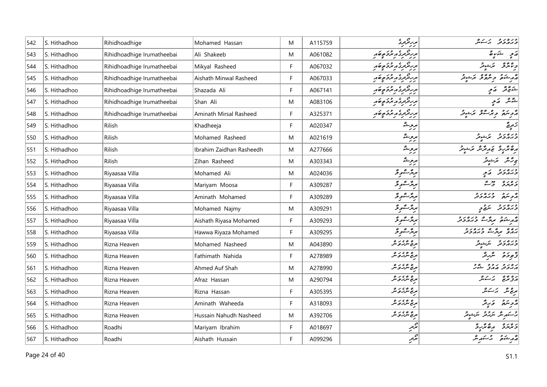| 542 | S. Hithadhoo | Rihidhoadhige              | Mohamed Hassan                | M  | A115759 | ىرىر تۈرى<br>مەم                                     | ورەرو پەسەر                                                                                                                                                                                                                     |
|-----|--------------|----------------------------|-------------------------------|----|---------|------------------------------------------------------|---------------------------------------------------------------------------------------------------------------------------------------------------------------------------------------------------------------------------------|
| 543 | S. Hithadhoo | Rihidhoadhige Irumatheebai | Ali Shakeeb                   | M  | A061082 |                                                      | $\begin{array}{cc} \circ & \circ & \circ \\ \circ & \circ & \circ \end{array}$                                                                                                                                                  |
| 544 | S. Hithadhoo | Rihidhoadhige Irumatheebai | Mikyal Rasheed                | F. | A067032 | برر و<br>برر وروز در برد و ځ د<br>シーション              | وعارو المرشور                                                                                                                                                                                                                   |
| 545 | S. Hithadhoo | Rihidhoadhige Irumatheebai | Aishath Minwal Rasheed        | F. | A067033 | برىر دىگرى دىكى دە ئەنھەر<br>برىر دىگرىم بىر دىم ئەن | د<br>مگر شوی و سرگانی ایر شوند                                                                                                                                                                                                  |
| 546 | S. Hithadhoo | Rihidhoadhige Irumatheebai | Shazada Ali                   | F. | A067141 | بررترتر <sub>که مرکز</sub> م که                      | ے پچ پڑ کی پی                                                                                                                                                                                                                   |
| 547 | S. Hithadhoo | Rihidhoadhige Irumatheebai | Shan Ali                      | M  | A083106 | برىر قرىرى بەر<br>برىر قرىرى بىر قرىم ھەر            | شەھرىمىيە                                                                                                                                                                                                                       |
| 548 | S. Hithadhoo | Rihidhoadhige Irumatheebai | <b>Aminath Mirsal Rasheed</b> | F  | A325371 | بربر قر <sub>ور و مرکز و چ</sub> ه د                 | ە ئەرەپ ئەرەپ ئەس ئەرەپ كەرەپ ئەرەپ ئەرەپ ئەرەپ كەرەپ كەرەپ كەرەپ كەرەپ كەرەپ كەرەپ كەرەپ كەرەپ كەرەپ كەرەپ كە<br>ئاراسىيەت كەرەپ كەرەپ كەرەپ كەرەپ كەرەپ كەرەپ كەرەپ كەرەپ كەرەپ كەرەپ كەرەپ كەرەپ كەرەپ كەرەپ كەرەپ كەرەپ كەر |
| 549 | S. Hithadhoo | Rilish                     | Khadheeja                     | F. | A020347 | بروشه<br>- -                                         | ئرىرىچ<br>ئ                                                                                                                                                                                                                     |
| 550 | S. Hithadhoo | Rilish                     | Mohamed Rasheed               | M  | A021619 | بروشه                                                | ورەرو كەشپەتر<br><i>دىرە</i> دىر كەشپەتر                                                                                                                                                                                        |
| 551 | S. Hithadhoo | Rilish                     | Ibrahim Zaidhan Rasheedh      | M  | A277666 | ابروٹ<br><u>ے</u> ر                                  | رەتمرۇ تەرىرىگە ترىدىر                                                                                                                                                                                                          |
| 552 | S. Hithadhoo | Rilish                     | Zihan Rasheed                 | M  | A303343 | بروشه                                                | ىپرىش ئىرىشونى                                                                                                                                                                                                                  |
| 553 | S. Hithadhoo | Riyaasaa Villa             | Mohamed Ali                   | M  | A024036 | ىرە ئەشەر ئە                                         | ورەرو كەير                                                                                                                                                                                                                      |
| 554 | S. Hithadhoo | Riyaasaa Villa             | Mariyam Moosa                 | F  | A309287 | برېژگوژ                                              | ر ه ر ه<br><del>د</del> بربرگ<br>دين شهر                                                                                                                                                                                        |
| 555 | S. Hithadhoo | Riyaasaa Villa             | Aminath Mohamed               | F  | A309289 | ىر ئۇ سەھ بۇ                                         | و رە ر د<br>تر پر تر تر<br>أرمز ترة                                                                                                                                                                                             |
| 556 | S. Hithadhoo | Riyaasaa Villa             | Mohamed Najmy                 | M  | A309291 | ىرەڭرىشى بۇ                                          | ورەر د دو.<br><i>دې</i> رمرد سرچ <i>چ</i>                                                                                                                                                                                       |
| 557 | S. Hithadhoo | Riyaasaa Villa             | Aishath Riyasa Mohamed        | F. | A309293 | ىرىژ ئىسى ئۇ                                         | הת לים תתאים כמתכת                                                                                                                                                                                                              |
| 558 | S. Hithadhoo | Riyaasaa Villa             | Hawwa Riyaza Mohamed          | F  | A309295 | ىر بۇ سەھ بۇ                                         | رەپ برگت دىرەرد                                                                                                                                                                                                                 |
| 559 | S. Hithadhoo | Rizna Heaven               | Mohamed Nasheed               | M  | A043890 | ە ئەم ئەرە<br>بىرى مىزر ئويىتىر                      | وره دو سرشوند                                                                                                                                                                                                                   |
| 560 | S. Hithadhoo | Rizna Heaven               | Fathimath Nahida              | F. | A278989 | ىر بى ئىزرى ئىر                                      | أو و ده مورد                                                                                                                                                                                                                    |
| 561 | S. Hithadhoo | Rizna Heaven               | Ahmed Auf Shah                | M  | A278990 | ە ئەم ئەرە<br>بىرى مىزر ئويىتىر                      | رەر در در در                                                                                                                                                                                                                    |
| 562 | S. Hithadhoo | Rizna Heaven               | Afraz Hassan                  | M  | A290794 | ىر چ ئىزىر ئەر                                       | رەپى پرىكە                                                                                                                                                                                                                      |
| 563 | S. Hithadhoo | Rizna Heaven               | Rizna Hassan                  | F  | A305395 | ە ئەي ئەرەپە<br>ئىرىج ئىرگە ئىر                      | ىرقى ئىر ئەسكەنلەر                                                                                                                                                                                                              |
| 564 | S. Hithadhoo | Rizna Heaven               | Aminath Waheeda               | F. | A318093 | ىرىج ئىزرى ئىر                                       | أترجر ستعرض وأبرقته                                                                                                                                                                                                             |
| 565 | S. Hithadhoo | Rizna Heaven               | Hussain Nahudh Nasheed        | M  | A392706 | ە ئەسىم ئەرەپەر<br>ئىرى ئىرگە ئەرە                   | ج کے مرکز مگر مگر شرور کر دیا ہے کہ اسکور کر اس کے مگر اسکور کر ا                                                                                                                                                               |
| 566 | S. Hithadhoo | Roadhi                     | Mariyam Ibrahim               | F. | A018697 | جرمر                                                 | במתכ תפתיק                                                                                                                                                                                                                      |
| 567 | S. Hithadhoo | Roadhi                     | Aishath Hussain               | F  | A099296 | لقيبر                                                | مەرىخى بىر ئىر                                                                                                                                                                                                                  |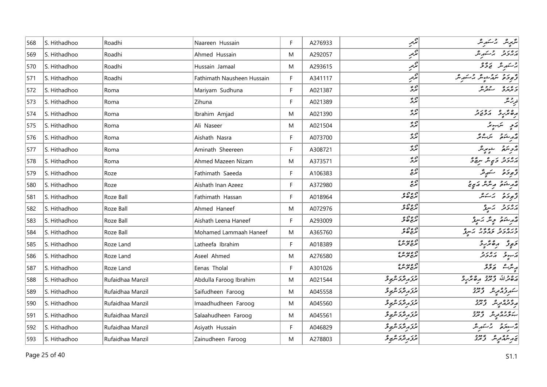| 568 | S. Hithadhoo | Roadhi           | Naareen Hussain            | F         | A276933 | جرمر                                               | شبچینش برجستیرینش                                                                                                                   |
|-----|--------------|------------------|----------------------------|-----------|---------|----------------------------------------------------|-------------------------------------------------------------------------------------------------------------------------------------|
| 569 | S. Hithadhoo | Roadhi           | Ahmed Hussain              | M         | A292057 | اچوبر<br>منگل                                      | أمهوس برحمه                                                                                                                         |
| 570 | S. Hithadhoo | Roadhi           | Hussain Jamaal             | M         | A293615 | جرمر                                               | جرستهر شریح تحریحر                                                                                                                  |
| 571 | S. Hithadhoo | Roadhi           | Fathimath Nausheen Hussain | F         | A341117 | حيمبر                                              | توجوجو التمشيش بمسكر                                                                                                                |
| 572 | S. Hithadhoo | Roma             | Mariyam Sudhuna            | F         | A021387 | جرمح                                               | سىقىرىتىر<br>ر ه ر ه<br><del>ر</del> بربر د                                                                                         |
| 573 | S. Hithadhoo | Roma             | Zihuna                     | F         | A021389 | $\overset{\circ}{\mathscr{F}}$                     | فریر شر                                                                                                                             |
| 574 | S. Hithadhoo | Roma             | Ibrahim Amjad              | M         | A021390 | جرجح                                               | קפיציב הכניב                                                                                                                        |
| 575 | S. Hithadhoo | Roma             | Ali Naseer                 | ${\sf M}$ | A021504 | جربح                                               | ەكمىي سىكىلىنى<br>مەكمىي سىكىلىنى<br>مەكمى كىم كىم كىلىنى كىلىنى كىلىنى كىلىنى كىلىنى كىلىنى كىلىنى كىلىنى كىلىنى كىلىنى كىلىنى كىل |
| 576 | S. Hithadhoo | Roma             | Aishath Nasra              | F         | A073700 | جرجح                                               |                                                                                                                                     |
| 577 | S. Hithadhoo | Roma             | Aminath Sheereen           | F         | A308721 | $\overset{\circ}{\mathscr{F}}$                     | أأرد سكرة الشويرين                                                                                                                  |
| 578 | S. Hithadhoo | Roma             | Ahmed Mazeen Nizam         | M         | A373571 | حرقر                                               | والمتحفظ والمحمد الملحم                                                                                                             |
| 579 | S. Hithadhoo | Roze             | Fathimath Saeeda           | F         | A106383 | جرج                                                | و دو شهردًا<br>د کاهره منگر                                                                                                         |
| 580 | S. Hithadhoo | Roze             | Aishath Inan Azeez         | F         | A372980 | جرج                                                |                                                                                                                                     |
| 581 | S. Hithadhoo | Roze Ball        | Fathimath Hassan           | F         | A018964 | ە ەم ە<br>ئىرىم ھىجە                               | ۇ يەدە بەسكىل                                                                                                                       |
| 582 | S. Hithadhoo | Roze Ball        | Ahmed Haneef               | M         | A072976 | <br>  پرې ځو                                       | دەرو ئەرە                                                                                                                           |
| 583 | S. Hithadhoo | Roze Ball        | Aishath Leena Haneef       | F         | A293009 | <br>  پرې ځو                                       | ومرجوح محبر برسي                                                                                                                    |
| 584 | S. Hithadhoo | Roze Ball        | Mohamed Lammaah Haneef     | M         | A365760 | <br>  پرې ځو                                       | ورەرو رەپو پەر                                                                                                                      |
| 585 | S. Hithadhoo | Roze Land        | Latheefa Ibrahim           | F         | A018389 | ە ەر، ە ە<br>ئىرىنى ئىرىشى                         | خوق مەممىر                                                                                                                          |
| 586 | S. Hithadhoo | Roze Land        | Aseel Ahmed                | M         | A276580 | ە ەر، ە ە<br>ئىرىن ئوسى                            | بر و بر و<br>م <i>ر</i> بر <del>و</del> تر<br>لەسبوقر                                                                               |
| 587 | S. Hithadhoo | Roze Land        | Eenas Tholal               | F         | A301026 | ە ە يە ە ە<br>ئىرىنى ئوسىيە                        | ر پر په پروو                                                                                                                        |
| 588 | S. Hithadhoo | Rufaidhaa Manzil | Abdulla Faroog Ibrahim     | M         | A021544 | ىر <i>ۋە بەر ئەڭ ئىب</i> ر ئى                      | رە داللە ۋېزى مەھىر د                                                                                                               |
| 589 | S. Hithadhoo | Rufaidhaa Manzil | Saifudheen Faroog          | M         | A045558 | ىز ئەر ئ <sup>ۆ</sup> ر ئىرى<br>ئىر ئەر ئىر ئىرىنى | ڪه وچي شرح ڪريزي<br>ڪهرو هي شرح ڪ                                                                                                   |
| 590 | S. Hithadhoo | Rufaidhaa Manzil | Imaadhudheen Faroog        | M         | A045560 | ىر <i>ۋە بەرگە ئى</i> ر ئىسى ئى                    | ر دوه مره و دود<br>مرد مره و مردد                                                                                                   |
| 591 | S. Hithadhoo | Rufaidhaa Manzil | Salaahudheen Faroog        | M         | A045561 | ىر <i>ۋە م</i> ۇر ئىرى<br>ئىر ئىرى ئىرى            | بەدە يەھەتتى ئەھەم                                                                                                                  |
| 592 | S. Hithadhoo | Rufaidhaa Manzil | Asiyath Hussain            | F         | A046829 | ىرۇ برىگرى شىر ۋ                                   | مجر سوری در محمد میں<br>مرد معامل                                                                                                   |
| 593 | S. Hithadhoo | Rufaidhaa Manzil | Zainudheen Faroog          | ${\sf M}$ | A278803 | ىر زىر مۇر ئىرىي بى                                | ىم شرە بولس ئۇنىز                                                                                                                   |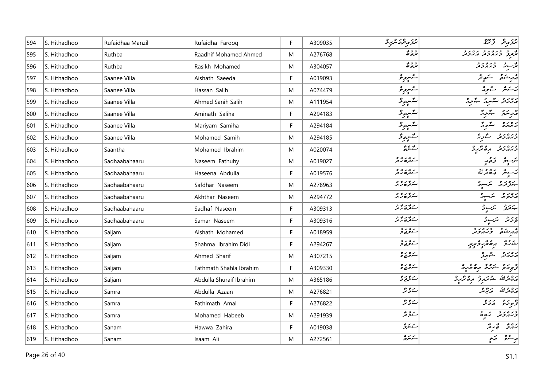| 594 | S. Hithadhoo | Rufaidhaa Manzil | Rufaidha Farooq         | F  | A309035 | برز <sub>م</sub> رتز د شر <sub>ی</sub> د | پروگر مگر و محمدهی                                                                                                                                                                                                                                                                                                        |
|-----|--------------|------------------|-------------------------|----|---------|------------------------------------------|---------------------------------------------------------------------------------------------------------------------------------------------------------------------------------------------------------------------------------------------------------------------------------------------------------------------------|
| 595 | S. Hithadhoo | Ruthba           | Raadhif Mohamed Ahmed   | M  | A276768 | و و پر<br>مرمون                          | نج د و دره د د د د د و<br>مرتوز و په د تد مدوند                                                                                                                                                                                                                                                                           |
| 596 | S. Hithadhoo | Ruthba           | Rasikh Mohamed          | M  | A304057 | د د ه<br>مرمون                           | كرسوز وبرورد                                                                                                                                                                                                                                                                                                              |
| 597 | S. Hithadhoo | Saanee Villa     | Aishath Saeeda          | F  | A019093 | سەمبرە ئ <sup>ۇ</sup>                    | وكرمشكم التكرموند                                                                                                                                                                                                                                                                                                         |
| 598 | S. Hithadhoo | Saanee Villa     | Hassan Salih            | M  | A074479 | ر<br>سەسرە ئە                            | يزخلا المجور                                                                                                                                                                                                                                                                                                              |
| 599 | S. Hithadhoo | Saanee Villa     | Ahmed Sanih Salih       | M  | A111954 | سە<br>سەرىرى                             | رورو گرسرو گرور                                                                                                                                                                                                                                                                                                           |
| 600 | S. Hithadhoo | Saanee Villa     | Aminath Saliha          | F  | A294183 | سەمبەر<br>ئىقىر                          | ومحر يتمور                                                                                                                                                                                                                                                                                                                |
| 601 | S. Hithadhoo | Saanee Villa     | Mariyam Samiha          | F  | A294184 | شەرە ئ <sup>ۇ</sup>                      | دەرە شەربە                                                                                                                                                                                                                                                                                                                |
| 602 | S. Hithadhoo | Saanee Villa     | Mohamed Samih           | M  | A294185 | سە يىرى<br>ئەسرىيە                       | ورەرو گەدۇ                                                                                                                                                                                                                                                                                                                |
| 603 | S. Hithadhoo | Saantha          | Mohamed Ibrahim         | M  | A020074 | شەھر                                     | כמחכת חפיציב                                                                                                                                                                                                                                                                                                              |
| 604 | S. Hithadhoo | Sadhaabahaaru    | Naseem Fathuhy          | M  | A019027 | ر په ره و<br>سنتر <i>ه ر</i> مر          | يترسوه ترة به                                                                                                                                                                                                                                                                                                             |
| 605 | S. Hithadhoo | Sadhaabahaaru    | Haseena Abdulla         | F. | A019576 | ر په ره و<br>سه تر <i>ه ر</i> مر         | ترسيع ترة قرالله                                                                                                                                                                                                                                                                                                          |
| 606 | S. Hithadhoo | Sadhaabahaaru    | Safdhar Naseem          | M  | A278963 | ر په ره و<br>سروه ر بر                   | رەر دېر سرگە دې                                                                                                                                                                                                                                                                                                           |
| 607 | S. Hithadhoo | Sadhaabahaaru    | Akhthar Naseem          | M  | A294772 | ر پر پر بر و<br>سنجو <i>ره ر</i> مر      | أرور والمرسور                                                                                                                                                                                                                                                                                                             |
| 608 | S. Hithadhoo | Sadhaabahaaru    | Sadhaf Naseem           | F  | A309313 | ر په ره و<br>سنتر <i>ه ر</i> مر          | ښونوژ سرسوژ                                                                                                                                                                                                                                                                                                               |
| 609 | S. Hithadhoo | Sadhaabahaaru    | Samar Naseem            | F  | A309316 | ر په ره و<br>سنتر <i>ه ر</i> مر          | لأراد المترسور                                                                                                                                                                                                                                                                                                            |
| 610 | S. Hithadhoo | Saljam           | Aishath Mohamed         | F. | A018959 | شەبۇ بەر 2                               | وكروشنوه وبروبر                                                                                                                                                                                                                                                                                                           |
| 611 | S. Hithadhoo | Saljam           | Shahma Ibrahim Didi     | F  | A294267 | ر و د ه                                  | أشروع المصر والمرمو                                                                                                                                                                                                                                                                                                       |
| 612 | S. Hithadhoo | Saljam           | Ahmed Sharif            | M  | A307215 | ر و د ه                                  | ى بەر ئەھمىرى                                                                                                                                                                                                                                                                                                             |
| 613 | S. Hithadhoo | Saljam           | Fathmath Shahla Ibrahim | F  | A309330 | ر و د ه                                  | $\begin{array}{cccc} 0 & 4 & 0 & 0 & 0 & 0 & 0 & 0 & 0 \\ 0 & 0 & 0 & 0 & 0 & 0 & 0 & 0 \\ 0 & 0 & 0 & 0 & 0 & 0 & 0 & 0 \\ 0 & 0 & 0 & 0 & 0 & 0 & 0 & 0 \\ 0 & 0 & 0 & 0 & 0 & 0 & 0 & 0 \\ 0 & 0 & 0 & 0 & 0 & 0 & 0 & 0 \\ 0 & 0 & 0 & 0 & 0 & 0 & 0 & 0 \\ 0 & 0 & 0 & 0 & 0 & 0 & 0 & 0 \\ 0 & 0 & 0 & 0 & 0 & 0 &$ |
| 614 | S. Hithadhoo | Saljam           | Abdulla Shuraif Ibrahim | M  | A365186 | ر و د ه                                  | برە داللە ھەمكىرۇ برەمگرىز                                                                                                                                                                                                                                                                                                |
| 615 | S. Hithadhoo | Samra            | Abdulla Azaan           | M  | A276821 | ىرە پۇ                                   | رەقراللە كەمچىر                                                                                                                                                                                                                                                                                                           |
| 616 | S. Hithadhoo | Samra            | Fathimath Amal          | F  | A276822 | سەدىر                                    | وٌجوحَ و دَوَ وَ                                                                                                                                                                                                                                                                                                          |
| 617 | S. Hithadhoo | Samra            | Mohamed Habeeb          | M  | A291939 | سەدىر                                    | 2012 2017                                                                                                                                                                                                                                                                                                                 |
| 618 | S. Hithadhoo | Sanam            | Hawwa Zahira            | F. | A019038 | سەبىرە                                   | يروڅ پخ په پېړ                                                                                                                                                                                                                                                                                                            |
| 619 | S. Hithadhoo | Sanam            | Isaam Ali               | M  | A272561 | سەبىرو                                   | وسٹاؤ    دکچھ                                                                                                                                                                                                                                                                                                             |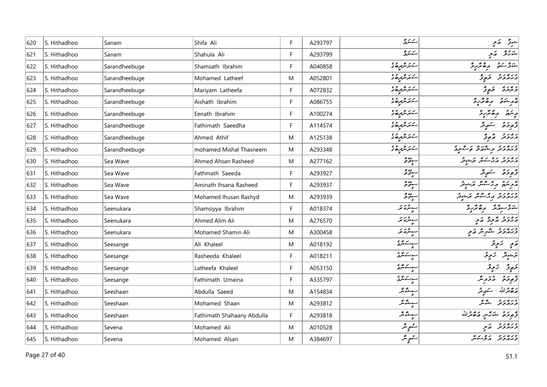| 620 | S. Hithadhoo | Sanam         | Shifa Ali                  | F  | A293797 | سەمىرو                        | خبور <del>گر</del><br>مستقر<br>ەكىپىيە                    |
|-----|--------------|---------------|----------------------------|----|---------|-------------------------------|-----------------------------------------------------------|
| 621 | S. Hithadhoo | Sanam         | Shahula Ali                | F  | A293799 | سەمىرە                        | ے ژنو                                                     |
| 622 | S. Hithadhoo | Sarandheebuge | Shamsath Ibrahim           | F  | A040858 | ے پر شر <sub>یر</sub> ہ ی     | ئەۋىسى <i>رە</i><br>برە ئۆرۈ                              |
| 623 | S. Hithadhoo | Sarandheebuge | Mohamed Latheef            | M  | A052801 | ر کے درج دی<br>استعمالکورٹ    | و ر ه ر و<br>و پر پر و تر                                 |
| 624 | S. Hithadhoo | Sarandheebuge | Mariyam Latheefa           | F  | A072832 | ے پر عربر <i>چ</i> ری         | ر ه ر ه<br><del>د</del> بربرگر                            |
| 625 | S. Hithadhoo | Sarandheebuge | Aishath Ibrahim            | F  | A086755 | ے پر عربر <i>چ</i> ری         | ەھترىرى<br>پ <sup>و</sup> پر ځوه<br>پر ک                  |
| 626 | S. Hithadhoo | Sarandheebuge | Eenath Ibrahim             | F  | A100274 | ے پر مر <sub>مر</sub> م ی     | برسمو مقترره                                              |
| 627 | S. Hithadhoo | Sarandheebuge | Fathimath Saeedha          | F  | A114574 | ر د کر سروره د <sup>و</sup> ک | رُّمِودَهُ سَهِيدٌ                                        |
| 628 | S. Hithadhoo | Sarandheebuge | Ahmed Athif                | M  | A125138 | ے پر عربر <i>چ</i> ری         | برەر د ئەبور                                              |
| 629 | S. Hithadhoo | Sarandheebuge | mohamed Mishal Thasneem    | M  | A293348 | ے پر مر <sub>مر</sub> م دی    | وره رو و عاده د عامرد                                     |
| 630 | S. Hithadhoo | Sea Wave      | Ahmed Ahsan Rasheed        | M  | A277162 | سەھ<br>ئەھ                    | رەرد رەبە كەر كەنجە                                       |
| 631 | S. Hithadhoo | Sea Wave      | Fathmath Saeeda            | F  | A293927 | ے جو حر<br>پر                 | رُّمُوحَمُّ سَمَدٍ مُّرَ                                  |
| 632 | S. Hithadhoo | Sea Wave      | Aminath Ihsana Rasheed     | F. | A293937 | سەتى ھ<br>ئە                  | د<br>مرح سهو آربر مشتر برخور                              |
| 633 | S. Hithadhoo | Sea Wave      | Mohamed Ihusan Rashyd      | M  | A293939 | ے پی ہ<br>پیغ حر              | ورەر دېر مارچى كەندەتر<br><i>دى</i> رمەدىر بەرگەش كەندەتر |
| 634 | S. Hithadhoo | Seenukara     | Shamsiyya Ibrahim          | F  | A018374 | - پېښ <i>ونه</i><br>په        | شوه مهرش مره مزرد                                         |
| 635 | S. Hithadhoo | Seenukara     | Ahmed Alim Ali             | M  | A276570 | – مترر ئە                     |                                                           |
| 636 | S. Hithadhoo | Seenukara     | Mohamed Shamin Ali         | M  | A300458 | اسەملەرىدىكە<br>پە            | ورەرو ئەرگىر                                              |
| 637 | S. Hithadhoo | Seesange      | Ali Khaleel                | M  | A018192 | ا پەيدىنى<br>ئ                | ړې زېږد                                                   |
| 638 | S. Hithadhoo | Seesange      | Rasheeda Khaleel           | F  | A018211 | اب مەنتەتلەر<br>پە            | بَرُجُونَرُ<br>ز و د                                      |
| 639 | S. Hithadhoo | Seesange      | Latheefa Khaleel           | F. | A053150 | اب مەنگەندى<br>پە             | ىمەل ئىچى                                                 |
| 640 | S. Hithadhoo | Seesange      | Fathimath Umaina           | F  | A335797 | اب مەسىر<br>ئە                | ۇ بور د<br>ەخرىرىتى                                       |
| 641 | S. Hithadhoo | Seeshaan      | Abdulla Saeed              | M  | A154834 | اب دیگر<br>په                 | ەھىراللە<br>سكور قر                                       |
| 642 | S. Hithadhoo | Seeshaan      | Mohamed Shaan              | M  | A293812 | _وشٌر شر                      | ورەرو شەھ                                                 |
| 643 | S. Hithadhoo | Seeshaan      | Fathimath Shahaany Abdulla | F  | A293818 | _وشٌر شر<br>$\boldsymbol{z}$  | قرموحا مشرشين وكافترالله                                  |
| 644 | S. Hithadhoo | Sevena        | Mohamed Ali                | M  | A010528 | ئە <sub>ھە</sub> بىگە         | ورەرو كې                                                  |
| 645 | S. Hithadhoo | Sevena        | Mohamed Alsan              | M  | A384697 | ء<br>سنو <sub>ء</sub> ِ مٿر   | ورەرو رەپ                                                 |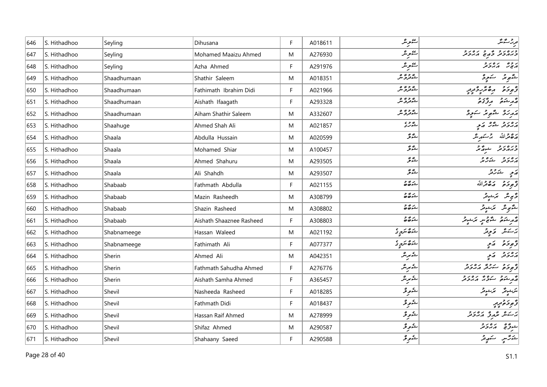| 646 | S. Hithadhoo | Seyling     | Dihusana                 | F  | A018611 | ڪوپر                               | مررح شتر شر                    |
|-----|--------------|-------------|--------------------------|----|---------|------------------------------------|--------------------------------|
| 647 | S. Hithadhoo | Seyling     | Mohamed Maaizu Ahmed     | M  | A276930 | ڪوپر                               |                                |
| 648 | S. Hithadhoo | Seyling     | Azha Ahmed               | F. | A291976 | ڪوپر                               | ر ده در در د                   |
| 649 | S. Hithadhoo | Shaadhumaan | Shathir Saleem           | M  | A018351 | ش <sup>ە بە ب</sup> ەر<br>شەندىر س | شەھ بىر كىر                    |
| 650 | S. Hithadhoo | Shaadhumaan | Fathimath Ibrahim Didi   | F  | A021966 | ے ویچ چ<br>شوہون س                 | ومرد مه المردوم                |
| 651 | S. Hithadhoo | Shaadhumaan | Aishath Ifaagath         | F  | A293328 | ش <sup>ە</sup> تەرەپىر             |                                |
| 652 | S. Hithadhoo | Shaadhumaan | Aiham Shathir Saleem     | M  | A332607 | ے پیمر شر<br>شومر <del>ش</del> ر   | أمار كالمحتفظ والمحمد المستوفى |
| 653 | S. Hithadhoo | Shaahuge    | Ahmed Shah Ali           | M  | A021857 | ر د د د و د<br>مشترکه ی            | ره د د چې کمبر                 |
| 654 | S. Hithadhoo | Shaala      | Abdulla Hussain          | M  | A020599 | شَرْتُر                            | أرەقراللە جرىئىرىنز            |
| 655 | S. Hithadhoo | Shaala      | Mohamed Shiar            | M  | A100457 | شَرْتَر                            | ورەرو شەرو                     |
| 656 | S. Hithadhoo | Shaala      | Ahmed Shahuru            | M  | A293505 | شَرْتُرُ                           | ره رو شره و<br>پرېوتو شوربو    |
| 657 | S. Hithadhoo | Shaala      | Ali Shahdh               | M  | A293507 | شەتى                               | أەسمج ستەرىخە                  |
| 658 | S. Hithadhoo | Shabaab     | Fathmath Abdulla         | F  | A021155 | شەھ ھ                              | وتحريره وتحدث الله             |
| 659 | S. Hithadhoo | Shabaab     | Mazin Rasheedh           | M  | A308799 | شەھ ھ                              | ۇيم ئىسىم                      |
| 660 | S. Hithadhoo | Shabaab     | Shazin Rasheed           | M  | A308802 | شۇھ                                |                                |
| 661 | S. Hithadhoo | Shabaab     | Aishath Shaaznee Rasheed | F  | A308803 | شەھ ھ                              |                                |
| 662 | S. Hithadhoo | Shabnameege | Hassan Waleed            | M  | A021192 | ے ک <i>ے سرچ</i> ک                 | رُسَکر کاموتر                  |
| 663 | S. Hithadhoo | Shabnameege | Fathimath Ali            | F. | A077377 | ے ک <i>ے سرح ک</i> ے               | و و د و د                      |
| 664 | S. Hithadhoo | Sherin      | Ahmed Ali                | M  | A042351 | ڪومريگر                            | ړه رو ځې                       |
| 665 | S. Hithadhoo | Sherin      | Fathmath Sahudha Ahmed   | F  | A276776 | ڪرمرمگر                            | و دو دوه ره دو                 |
| 666 | S. Hithadhoo | Sherin      | Aishath Samha Ahmed      | F  | A365457 | ڪومرنگر                            | د مشترد دره در در در د         |
| 667 | S. Hithadhoo | Shevil      | Nasheeda Rasheed         | F  | A018285 | ڪور                                | لكريفوفك الكريفوفك             |
| 668 | S. Hithadhoo | Shevil      | Fathmath Didi            | F  | A018437 | ڪور                                | ر<br>ژ <sub>ېمو</sub> ر ژوپر   |
| 669 | S. Hithadhoo | Shevil      | Hassan Raif Ahmed        | M  | A278999 | ڪويڙ                               |                                |
| 670 | S. Hithadhoo | Shevil      | Shifaz Ahmed             | M  | A290587 | ڪور                                | شوقرج أيره راد                 |
| 671 | S. Hithadhoo | Shevil      | Shahaany Saeed           | F  | A290588 | ڪور                                | شۇر سىر ئىر                    |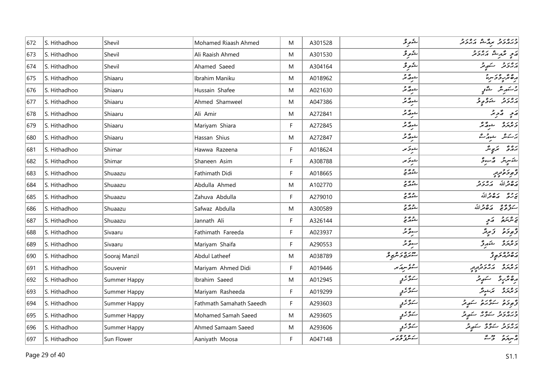| 672 | S. Hithadhoo | Shevil              | Mohamed Riaash Ahmed     | M  | A301528 | ڪويڙ                                               | ورەر دېر شهر دەر د                                                                                  |
|-----|--------------|---------------------|--------------------------|----|---------|----------------------------------------------------|-----------------------------------------------------------------------------------------------------|
| 673 | S. Hithadhoo | Shevil              | Ali Raaish Ahmed         | M  | A301530 | ڪويڙ                                               | أيأمج المرمر مصر المردور                                                                            |
| 674 | S. Hithadhoo | Shevil              | Ahamed Saeed             | M  | A304164 | شورو                                               | ره رو در د<br>مدونر سوړنر                                                                           |
| 675 | S. Hithadhoo | Shiaaru             | Ibrahim Maniku           | M  | A018962 | شودگر تر                                           |                                                                                                     |
| 676 | S. Hithadhoo | Shiaaru             | Hussain Shafee           | M  | A021630 | شودگر تر                                           |                                                                                                     |
| 677 | S. Hithadhoo | Shiaaru             | Ahmed Shamweel           | M  | A047386 | شو <i>رگ</i> تر<br>م                               | رەر د<br>رەر دۇھۇم                                                                                  |
| 678 | S. Hithadhoo | Shiaaru             | Ali Amir                 | M  | A272841 | شورمجر<br>مر                                       | $\frac{2}{3}$ $\frac{2}{3}$ $\frac{2}{3}$                                                           |
| 679 | S. Hithadhoo | Shiaaru             | Mariyam Shiara           | F  | A272845 | شودگر تر                                           | رەرە خەرجىم                                                                                         |
| 680 | S. Hithadhoo | Shiaaru             | Hassan Shius             | M  | A272847 | شودگر تر                                           | بر کے مشور کے دور کے دور کے د                                                                       |
| 681 | S. Hithadhoo | Shimar              | Hawwa Razeena            | F  | A018624 | ڪوتر مر<br>مر                                      | برە ئەستىپ ئىگە                                                                                     |
| 682 | S. Hithadhoo | Shimar              | Shaneen Asim             | F  | A308788 | سنوتز بر                                           | المنوسر مي المحرور                                                                                  |
| 683 | S. Hithadhoo | Shuaazu             | Fathimath Didi           | F  | A018665 | ر و بر د<br>شور م                                  | وگهج ترکمو تورتور<br>محمود شخصی                                                                     |
| 684 | S. Hithadhoo | Shuaazu             | Abdulla Ahmed            | M  | A102770 | شەرىج<br>شەرىخ                                     | حدة قرالله مهرد و                                                                                   |
| 685 | S. Hithadhoo | Shuaazu             | Zahuva Abdulla           | F  | A279010 | ر ج م<br>شور م                                     | يخ حرق صكرة وترالله                                                                                 |
| 686 | S. Hithadhoo | Shuaazu             | Safwaz Abdulla           | M  | A300589 | ر ج م<br>شور م                                     | يەم ئەھەرللە                                                                                        |
| 687 | S. Hithadhoo | Shuaazu             | Jannath Ali              | F  | A326144 | ر و بر د<br>مشور م                                 | فَيَمْرَ سَوْرِ فَيَمْ فِي الْمَرْكَبِينَ وَالْمَرْكَبِينَ وَالْمَرْكَبِينَ وَالْمَرْكَبِينَ وَالْم |
| 688 | S. Hithadhoo | Sivaaru             | Fathimath Fareeda        | F  | A023937 | سوڭە تىر                                           | وَّجِوحَةً وَسِنَّرَ                                                                                |
| 689 | S. Hithadhoo | Sivaaru             | Mariyam Shaifa           | F  | A290553 | سوڭە تىر                                           | وحده خهوتم                                                                                          |
| 690 | S. Hithadhoo | Sooraj Manzil       | Abdul Latheef            | M  | A038789 | دەرەر <i>مەي</i> رى<br>سىنمى <i>ق ج</i> ىشرىپو بىر | ره ده د<br>ماه ده د و                                                                               |
| 691 | S. Hithadhoo | Souvenir            | Mariyam Ahmed Didi       | F  | A019446 | قىق مەركە بىر                                      | קסקס קסקל<br>קמתכ הגבעתט                                                                            |
| 692 | S. Hithadhoo | Summer Happy        | Ibrahim Saeed            | M  | A012945 | سەۋرىپ                                             | رە ئەر ئىسكىر                                                                                       |
| 693 | S. Hithadhoo | <b>Summer Happy</b> | Mariyam Rasheeda         | F  | A019299 | سەۋرې <sub>ر</sub>                                 | رەرە ئەجەنگە                                                                                        |
| 694 | S. Hithadhoo | <b>Summer Happy</b> | Fathmath Samahath Saeedh | F  | A293603 | سەۋرىپ                                             | توجوحو سومرو سورتر                                                                                  |
| 695 | S. Hithadhoo | <b>Summer Happy</b> | Mohamed Samah Saeed      | M  | A293605 | سەۋرې <sub>ر</sub>                                 | ورەرو روم كەر                                                                                       |
| 696 | S. Hithadhoo | <b>Summer Happy</b> | Ahmed Samaam Saeed       | M  | A293606 | سەۋرىپ                                             | رور و روه سهرته                                                                                     |
| 697 | S. Hithadhoo | Sun Flower          | Aaniyath Moosa           | F. | A047148 | ر پە دې دىر<br>سەمبىر بۇ ئۆس                       | أشبهته ويتمسح                                                                                       |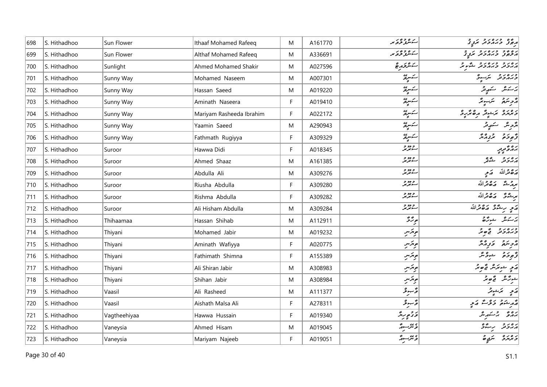| 698 | S. Hithadhoo | Sun Flower   | Ithaaf Mohamed Rafeeq    | M | A161770 | ر پە دې بەر<br>سەئىلەنى ئىچى بىر    | ر وه دره د د برو د                                                                                                                                          |
|-----|--------------|--------------|--------------------------|---|---------|-------------------------------------|-------------------------------------------------------------------------------------------------------------------------------------------------------------|
| 699 | S. Hithadhoo | Sun Flower   | Althaf Mohamed Rafeeq    | M | A336691 | ر پە دې دىر<br>سەمبىر بۇ ئەس        | ره دو وره رو برو و<br>مرحوز وبرمرمز بروتر                                                                                                                   |
| 700 | S. Hithadhoo | Sunlight     | Ahmed Mohamed Shakir     | M | A027596 | سىشرىخىرى                           | رەرد درەرد شرد                                                                                                                                              |
| 701 | S. Hithadhoo | Sunny Way    | Mohamed Naseem           | M | A007301 | سە يېڭە                             | وره رو برسو                                                                                                                                                 |
| 702 | S. Hithadhoo | Sunny Way    | Hassan Saeed             | M | A019220 | سەمبەي                              | بر سەھر سىمەيتىر                                                                                                                                            |
| 703 | S. Hithadhoo | Sunny Way    | Aminath Naseera          | F | A019410 | سە يەرى<br>ئە                       | مەھ ئىكى ئىكىنىدىنى ئىكىن                                                                                                                                   |
| 704 | S. Hithadhoo | Sunny Way    | Mariyam Rasheeda Ibrahim | F | A022172 | سەمبەي                              | כ מתכני הליילה ולהליקים                                                                                                                                     |
| 705 | S. Hithadhoo | Sunny Way    | Yaamin Saeed             | M | A290943 | سە يېڭە                             | ېژوننې خوړنگر<br>مر                                                                                                                                         |
| 706 | S. Hithadhoo | Sunny Way    | Fathmath Rugiyya         | F | A309329 | سە يېڭە                             | وحوحا بمروما                                                                                                                                                |
| 707 | S. Hithadhoo | Suroor       | Hawwa Didi               | F | A018345 | و دو و<br>سوپو پر                   | <br> زړه ورور                                                                                                                                               |
| 708 | S. Hithadhoo | Suroor       | Ahmed Shaaz              | M | A161385 | د دو د<br>سوپر پر                   | رەر <sub>جە</sub> ر<br>مەرىر ئىقم                                                                                                                           |
| 709 | S. Hithadhoo | Suroor       | Abdulla Ali              | M | A309276 | ر د دو د<br>سومبرس                  | ح قوالله حَمْدٍ                                                                                                                                             |
| 710 | S. Hithadhoo | Suroor       | Riusha Abdulla           | F | A309280 | د دو د<br>سومومر                    | برقمشة مكافرالله                                                                                                                                            |
| 711 | S. Hithadhoo | Suroor       | Rishma Abdulla           | F | A309282 | ر دو د<br>سوپور                     | سِشْعَرَّ صَرْهُ مِّرَاللَّه                                                                                                                                |
| 712 | S. Hithadhoo | Suroor       | Ali Hisham Abdulla       | M | A309284 | و دو و<br>سومر پر                   | أصَعٍ سِتْعَمَّ صَصَّرْاللَّهَ                                                                                                                              |
| 713 | S. Hithadhoo | Thihaamaa    | Hassan Shihab            | M | A112911 | ەرجى                                | يركس شورص                                                                                                                                                   |
| 714 | S. Hithadhoo | Thiyani      | Mohamed Jabir            | M | A019232 | ەدىرىىر                             | وره دو و و                                                                                                                                                  |
| 715 | S. Hithadhoo | Thiyani      | Aminath Wafiyya          | F | A020775 | ەدىرىىر                             | ג ב ייטב פנ גיל                                                                                                                                             |
| 716 | S. Hithadhoo | Thiyani      | Fathimath Shimna         | F | A155389 | ەدىرىىر                             | ۇۋۇڭ سوۋىگە                                                                                                                                                 |
| 717 | S. Hithadhoo | Thiyani      | Ali Shiran Jabir         | M | A308983 | ەدىر                                | ړې خونډ شخ ه تر                                                                                                                                             |
| 718 | S. Hithadhoo | Thiyani      | Shihan Jabir             | M | A308984 | ەدىرىىر                             | $\begin{array}{cc} \hline \downarrow & \downarrow & \downarrow \\ \downarrow & \downarrow & \downarrow \\ \downarrow & \downarrow & \downarrow \end{array}$ |
| 719 | S. Hithadhoo | Vaasil       | Ali Rasheed              | M | A111377 | ۇسوۋ                                | أركمني المركب وتر                                                                                                                                           |
| 720 | S. Hithadhoo | Vaasil       | Aishath Malsa Ali        | F | A278311 | ۇسوپە                               | وأرشكم وكوث وكمح                                                                                                                                            |
| 721 | S. Hithadhoo | Vagtheehiyaa | Hawwa Hussain            | F | A019340 | د حرمه<br>  <i>و د هور</i> مر       | برە ئەسكىرىش                                                                                                                                                |
| 722 | S. Hithadhoo | Vaneysia     | Ahmed Hisam              | M | A019045 | ه مرسورم<br>  د سرسور               | أرورو ربدو                                                                                                                                                  |
| 723 | S. Hithadhoo | Vaneysia     | Mariyam Najeeb           | F | A019051 | ە ي <sub>ىش</sub> رىدۇر<br>مەسرىبەر | و ورو سرد ه                                                                                                                                                 |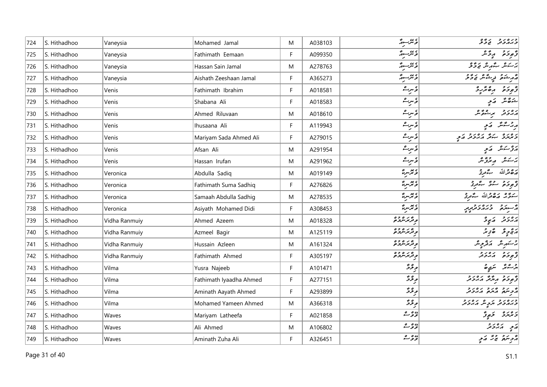| 724 | S. Hithadhoo | Vaneysia      | Mohamed Jamal           | M  | A038103 | ء ي <sub>ئر</sub> ستروتر            | ورەرو روە                                                                                                                                                                                                                        |
|-----|--------------|---------------|-------------------------|----|---------|-------------------------------------|----------------------------------------------------------------------------------------------------------------------------------------------------------------------------------------------------------------------------------|
| 725 | S. Hithadhoo | Vaneysia      | Fathimath Eemaan        | F. | A099350 | ، ،،<br>و متر سوړ                   | أزودة بردهر                                                                                                                                                                                                                      |
| 726 | S. Hithadhoo | Vaneysia      | Hassan Sain Jamal       | M  | A278763 | ه مرسورم<br>و مترسورم               | ير کره کر مرکز در ده د                                                                                                                                                                                                           |
| 727 | S. Hithadhoo | Vaneysia      | Aishath Zeeshaan Jamal  | F. | A365273 | ه مرسورم<br>حرمتر سر                | أور شمي فريشه و د و د                                                                                                                                                                                                            |
| 728 | S. Hithadhoo | Venis         | Fathimath Ibrahim       | F  | A018581 | ۇسرىئە                              | و دو رەپرى                                                                                                                                                                                                                       |
| 729 | S. Hithadhoo | Venis         | Shabana Ali             | F  | A018583 | ۇسرىشە                              | شۇڭ كېر                                                                                                                                                                                                                          |
| 730 | S. Hithadhoo | Venis         | Ahmed Riluvaan          | M  | A018610 | ۇسرى                                | رەرە برخوش                                                                                                                                                                                                                       |
| 731 | S. Hithadhoo | Venis         | Ihusaana Ali            | F  | A119943 | ۇسرىشە                              | ر ژیم ته په نو                                                                                                                                                                                                                   |
| 732 | S. Hithadhoo | Venis         | Mariyam Sada Ahmed Ali  | F  | A279015 | ۇسرىشە                              | נים נים נים נים נים בית.<br>המיתוכ היות המכת הת                                                                                                                                                                                  |
| 733 | S. Hithadhoo | Venis         | Afsan Ali               | M  | A291954 | ۇسرىئە                              | پروستانلہ کے پر                                                                                                                                                                                                                  |
| 734 | S. Hithadhoo | Venis         | Hassan Irufan           | M  | A291962 | ء سرب                               |                                                                                                                                                                                                                                  |
| 735 | S. Hithadhoo | Veronica      | Abdulla Sadiq           | M  | A019149 | میرسریز<br>  حالمبرسریز             | رەقمەللە ئەمرىم                                                                                                                                                                                                                  |
| 736 | S. Hithadhoo | Veronica      | Fathimath Suma Sadhiq   | F  | A276826 | ، بر<br>و بر سررتم                  | ق ده ده ده و شورد                                                                                                                                                                                                                |
| 737 | S. Hithadhoo | Veronica      | Samaah Abdulla Sadhig   | M  | A278535 | ، بو<br>و ټرسرېد                    | يدوه بره و الله گورد                                                                                                                                                                                                             |
| 738 | S. Hithadhoo | Veronica      | Asiyath Mohamed Didi    | F  | A308453 | ، بو<br>و <del>ب</del> رسرېد        | انج سوره و دره در در در در در باند به این کار در در این در این در این در این در این در این در این در این در ای<br>در این کار در این در این در این در این در این در این در این در این در این در این در این در این در این در این د |
| 739 | S. Hithadhoo | Vidha Ranmuiy | Ahmed Azeem             | M  | A018328 | ءِ تر پر و و ه<br>ع                 | أرور و المعالمي المحمد المحمد المحمد                                                                                                                                                                                             |
| 740 | S. Hithadhoo | Vidha Ranmuiy | Azmeel Bagir            | M  | A125119 | ءِ تر پر و و ه<br>ع                 |                                                                                                                                                                                                                                  |
| 741 | S. Hithadhoo | Vidha Ranmuiy | Hussain Azleen          | M  | A161324 | په پره وه<br>  پونګر <i>پېرو</i> نو | برستهرش كالوجيش                                                                                                                                                                                                                  |
| 742 | S. Hithadhoo | Vidha Ranmuiy | Fathimath Ahmed         | F  | A305197 | ء تر پر ۵۶۵<br>ع تر پر سرچ ج        | و ده ده دورد                                                                                                                                                                                                                     |
| 743 | S. Hithadhoo | Vilma         | Yusra Najeeb            | F  | A101471 | حوفرقر                              |                                                                                                                                                                                                                                  |
| 744 | S. Hithadhoo | Vilma         | Fathimath Iyaadha Ahmed | F  | A277151 | حريحر                               | ה<br>תוקפת היהל הסגב                                                                                                                                                                                                             |
| 745 | S. Hithadhoo | Vilma         | Aminath Aayath Ahmed    | F  | A293899 | حوفرقر                              | ת כ מ מ מ מ מ מ מ כ מ מ כ מ מ כ מ מ כ מ מ כ מ מ כ מ מ כ מ מ כ מ מ כ מ מ כ מ מ כ מ כ מ כ מ כ מ כ מ כ מ כ מ כ מ                                                                                                                    |
| 746 | S. Hithadhoo | Vilma         | Mohamed Yameen Ahmed    | M  | A366318 | عرفرقر                              | ورەرو رىپە كەرو                                                                                                                                                                                                                  |
| 747 | S. Hithadhoo | Waves         | Mariyam Latheefa        | F  | A021858 | ،، <i>ہ</i> و                       | دەرە ئېرۇ                                                                                                                                                                                                                        |
| 748 | S. Hithadhoo | Waves         | Ali Ahmed               | M  | A106802 | ءہ صہ                               | أړنې د پرورو                                                                                                                                                                                                                     |
| 749 | S. Hithadhoo | Waves         | Aminath Zuha Ali        | F  | A326451 | » <i>ه ره</i>                       | أثرم يتمرس ومحمي أتكمي                                                                                                                                                                                                           |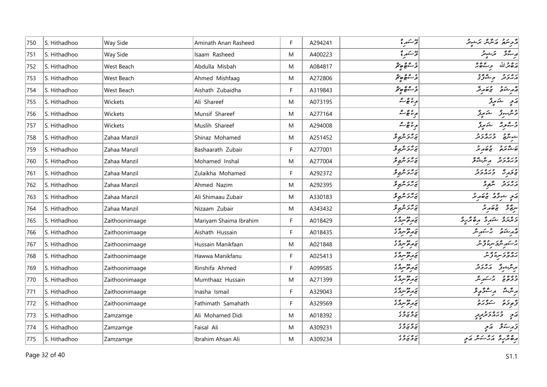| 750 | S. Hithadhoo | Way Side       | Aminath Anan Rasheed   | F  | A294241 | ن کے دی <sub>کھ</sub>                                  | أأترجم المترامل المتفوير                   |
|-----|--------------|----------------|------------------------|----|---------|--------------------------------------------------------|--------------------------------------------|
| 751 | S. Hithadhoo | Way Side       | Isaam Rasheed          | M  | A400223 | ن کے مر <sup>ہ</sup>                                   | أيريكموا المرتشوش                          |
| 752 | S. Hithadhoo | West Beach     | Abdulla Misbah         | M  | A084817 | $\begin{bmatrix} 2 & 2 & 5 \\ 5 & 6 & 5 \end{bmatrix}$ | مَصْعَراللّه<br>وسنقص                      |
| 753 | S. Hithadhoo | West Beach     | Ahmed Mishfaaq         | M  | A272806 | $rac{1}{2}$                                            | ره رو در مورد<br>مربر در در در در          |
| 754 | S. Hithadhoo | West Beach     | Aishath Zubaidha       | F  | A319843 | $\mathcal{S}_{\varphi}$ $\mathcal{S}_{\varphi}$        |                                            |
| 755 | S. Hithadhoo | Wickets        | Ali Shareef            | M  | A073195 | <sub>عر</sub> بة قاينة                                 | أركمني المستورين                           |
| 756 | S. Hithadhoo | Wickets        | Munsif Shareef         | M  | A277164 | عرتم قاعسه                                             | ۋىرىبور<br>ے موثر                          |
| 757 | S. Hithadhoo | Wickets        | Muslih Shareef         | M  | A294008 | و ئۇ ھ                                                 | وجوروا المتاريو                            |
| 758 | S. Hithadhoo | Zahaa Manzil   | Shinaz Mohamed         | M  | A251452 | ئەشرىقى چە                                             | شەمگەنچ<br>و رە ر د<br>تر پر تر تر         |
| 759 | S. Hithadhoo | Zahaa Manzil   | Bashaarath Zubair      | F  | A277001 | ىئە ئەڭرىمى بى                                         | CAR CARA                                   |
| 760 | S. Hithadhoo | Zahaa Manzil   | Mohamed Inshal         | M  | A277004 | ىر ئەز شەيدى                                           | و ر ه ر د<br>د بر بر تر<br>ىر بىرىشۇ ئو    |
| 761 | S. Hithadhoo | Zahaa Manzil   | Zulaikha Mohamed       | F  | A292372 | ى ئەڭ ئىرى ئى                                          | و ره ر د<br>تربر پر تر<br>ح ځرمر تر<br>م   |
| 762 | S. Hithadhoo | Zahaa Manzil   | Ahmed Nazim            | M  | A292395 | ىر ئەز شرىي تۇ                                         | رەر ئەھرە                                  |
| 763 | S. Hithadhoo | Zahaa Manzil   | Ali Shimaau Zubair     | M  | A330183 | ى ئەز ئىرىپى ئە                                        | ג׳בְ תַּבְרֶג הַ סְּתָב                    |
| 764 | S. Hithadhoo | Zahaa Manzil   | Nizaam Zubair          | M  | A343432 | ئەر ئەكەنگە ئە                                         | سرچ ۽ صميد                                 |
| 765 | S. Hithadhoo | Zaithoonimaage | Mariyam Shaima Ibrahim | F  | A018429 | ב קבל תוביב<br>בין קבל תוביב                           | גם גם היות ב" וקישית בי                    |
| 766 | S. Hithadhoo | Zaithoonimaage | Aishath Hussain        | F. | A018435 | ىم مەھمىرىچە<br>ئ                                      | مەر شىم بىر شىر ش                          |
| 767 | S. Hithadhoo | Zaithoonimaage | Hussain Manikfaan      | M  | A021848 | ב קייד ביבי<br>ביקייד ביבי                             | ج سے مر عرض میں تو تعمی                    |
| 768 | S. Hithadhoo | Zaithoonimaage | Hawwa Manikfanu        | F  | A025413 | ן<br>המקייקות ב                                        | رە بەر بىر تەرىپى<br>بەر بۇ ئەسرىيە ئۇنىڭر |
| 769 | S. Hithadhoo | Zaithoonimaage | Rinshifa Ahmed         | F. | A099585 | ئەر دوسرچ<br>ئ                                         | ەر ئەر تە<br>برىگرىشوژً                    |
| 770 | S. Hithadhoo | Zaithoonimaage | Mumthaaz Hussain       | M  | A271399 | ىم مەھمىرىچە<br>ئ                                      | - <i>۱۶۵۶ - ۲۰ میل</i><br>مرحوم برگتور ش   |
| 771 | S. Hithadhoo | Zaithoonimaage | Inasha Ismail          | F  | A329043 | ر دو بروی<br>نماره بروی                                | ىرىئەشقە بەستىۋىر تو                       |
| 772 | S. Hithadhoo | Zaithoonimaage | Fathimath Samahath     | F  | A329569 | ىم مەھمىرىچە ئ                                         | ژوره شوره                                  |
| 773 | S. Hithadhoo | Zamzamge       | Ali Mohamed Didi       | M  | A018392 |                                                        | ړ د د د د ورور<br>د د د د د و ترترتر       |
| 774 | S. Hithadhoo | Zamzamge       | Faisal Ali             | M  | A309231 |                                                        | تەرىبىق كەي                                |
| 775 | S. Hithadhoo | Zamzamge       | Ibrahim Ahsan Ali      | M  | A309234 |                                                        | مەھەر دە كەر كەن كەن                       |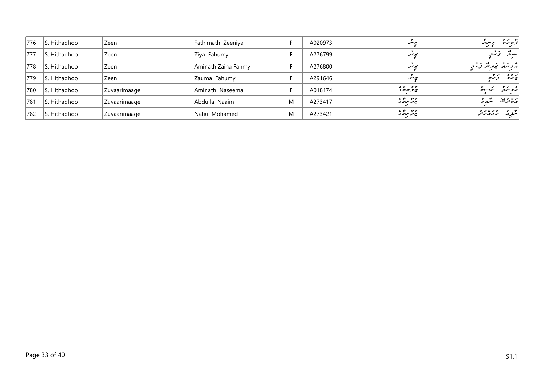| 776 | S. Hithadhoo   | Zeen         | Fathimath Zeeniya   |   | A020973 | اس                                        | ا تو بر در<br>اگر جو جو<br>سے سرور |
|-----|----------------|--------------|---------------------|---|---------|-------------------------------------------|------------------------------------|
| 777 | l S. Hithadhoo | Zeen         | Ziya Fahumy         |   | A276799 | ، سر                                      | سندوگر<br>ترثرو                    |
| 778 | l S. Hithadhoo | Zeen         | Aminath Zaina Fahmy |   | A276800 | ، سر                                      | أأروسهم بمارش وكرح                 |
| 779 | IS. Hithadhoo  | Zeen         | Zauma Fahumy        |   | A291646 | ، سر                                      | ائے <i>م</i> رش<br>تخرقر و         |
| 780 | l S. Hithadhoo | Zuvaarimaage | Aminath Naseema     |   | A018174 | $64 - 42$<br> تم حر مرحر تر               | أثر دستره كالمساورة                |
| 781 | S. Hithadhoo   | Zuvaarimaage | Abdulla Naaim       | M | A273417 | د په په په<br>  بی ټو بر تر <sub>کم</sub> | أرة قرالله شهرته                   |
| 782 | IS. Hithadhoo  | Zuvaarimaage | Nafiu Mohamed       | M | A273421 | و پر پر پر<br>سی تحریکو <sub>م</sub> ی    | پتمبر چر<br>و ره د د<br>تر پر ژوئر |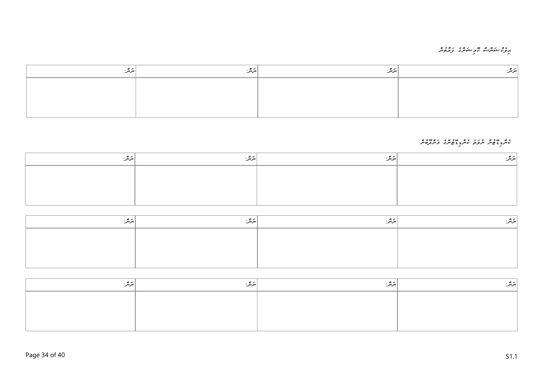## *w7qAn8m? sCw7mRo>u; wEw7mRw;sBo<*

| ' مرمر | 'يئرىثر: |
|--------|----------|
|        |          |
|        |          |
|        |          |

## *w7q9r@w7m> sCw7qHtFoFw7s; mAm=q7 w7qHtFoFw7s;*

| ىر تە | $\mathcal{O} \times$<br>$\sim$ | $\sim$<br>. . | لترنثر |
|-------|--------------------------------|---------------|--------|
|       |                                |               |        |
|       |                                |               |        |
|       |                                |               |        |

| $\frac{\partial}{\partial x}$ | $^{\circ}$ | $\frac{2}{n}$ | $^{\circ}$<br>سرسر. |
|-------------------------------|------------|---------------|---------------------|
|                               |            |               |                     |
|                               |            |               |                     |
|                               |            |               |                     |

| ىرتىر: | 。<br>سر سر | .,<br>مرسر |
|--------|------------|------------|
|        |            |            |
|        |            |            |
|        |            |            |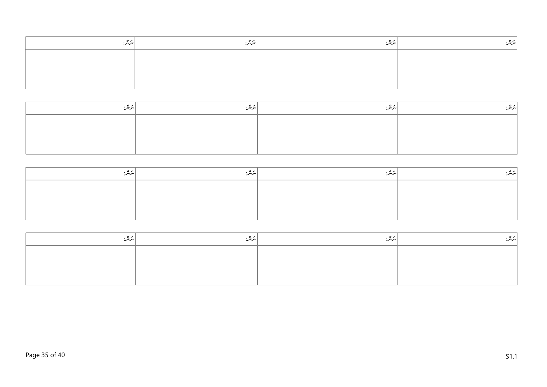| يزهر | $^{\circ}$ | ىئرىتر: |  |
|------|------------|---------|--|
|      |            |         |  |
|      |            |         |  |
|      |            |         |  |

| متريثر به | 。<br>َ سرسر ِ | يتزيترا | سرسر |
|-----------|---------------|---------|------|
|           |               |         |      |
|           |               |         |      |
|           |               |         |      |

| ىئرىتر. | $\sim$ | ا بر هه. | لىرىش |
|---------|--------|----------|-------|
|         |        |          |       |
|         |        |          |       |
|         |        |          |       |

| يترمثر | $^{\circ}$ | ىر پىر |
|--------|------------|--------|
|        |            |        |
|        |            |        |
|        |            |        |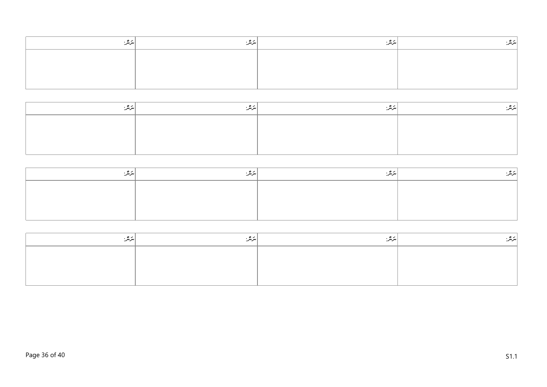| ير هو . | $\overline{\phantom{a}}$ | يرمر | اير هنه. |
|---------|--------------------------|------|----------|
|         |                          |      |          |
|         |                          |      |          |
|         |                          |      |          |

| ىر تىر: | $\circ$ $\sim$<br>" سرسر . | يبرحه | o . |
|---------|----------------------------|-------|-----|
|         |                            |       |     |
|         |                            |       |     |
|         |                            |       |     |

| الترنثر: | ' مرتكز: | الترنثر: | .,<br>سرسر. |
|----------|----------|----------|-------------|
|          |          |          |             |
|          |          |          |             |
|          |          |          |             |

|  | . ه |
|--|-----|
|  |     |
|  |     |
|  |     |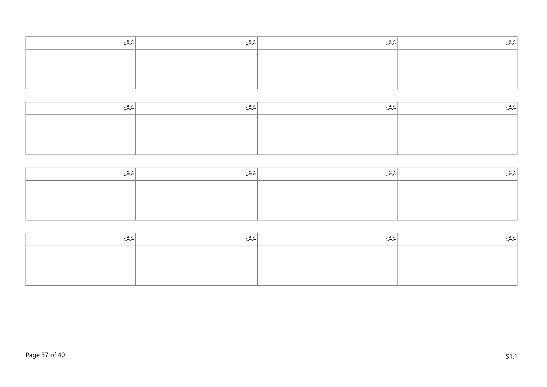| ير هو . | $\overline{\phantom{a}}$ | يرمر | اير هنه. |
|---------|--------------------------|------|----------|
|         |                          |      |          |
|         |                          |      |          |
|         |                          |      |          |

| ىر تىر: | $\circ$ $\sim$<br>" سرسر . | يبرحه | o . |
|---------|----------------------------|-------|-----|
|         |                            |       |     |
|         |                            |       |     |
|         |                            |       |     |

| انترنثر: | ر ه |  |
|----------|-----|--|
|          |     |  |
|          |     |  |
|          |     |  |

|  | . ه |
|--|-----|
|  |     |
|  |     |
|  |     |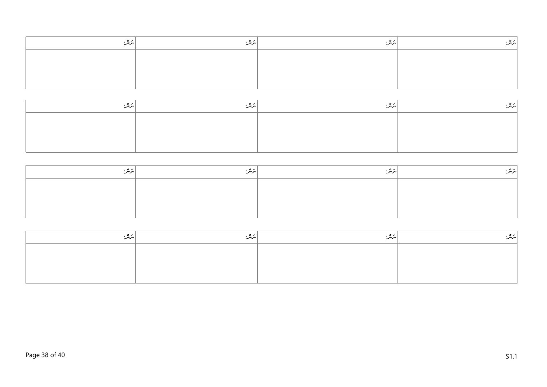| $\cdot$ | ο. | $\frac{\circ}{\cdot}$ | $\sim$<br>سرسر |
|---------|----|-----------------------|----------------|
|         |    |                       |                |
|         |    |                       |                |
|         |    |                       |                |

| ايرعر: | ر ه<br>. . |  |
|--------|------------|--|
|        |            |  |
|        |            |  |
|        |            |  |

| بر ه | 。 | $\overline{\phantom{0}}$<br>َ سومس. |  |
|------|---|-------------------------------------|--|
|      |   |                                     |  |
|      |   |                                     |  |
|      |   |                                     |  |

| 。<br>. س | ىرىىر |  |
|----------|-------|--|
|          |       |  |
|          |       |  |
|          |       |  |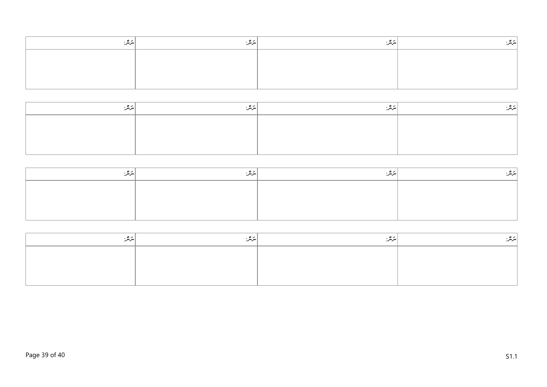| ير هو . | $\overline{\phantom{a}}$ | يرمر | لتزمثن |
|---------|--------------------------|------|--------|
|         |                          |      |        |
|         |                          |      |        |
|         |                          |      |        |

| ىر تىر: | $\circ$ $\sim$<br>" سرسر . | يبرحه | o . |
|---------|----------------------------|-------|-----|
|         |                            |       |     |
|         |                            |       |     |
|         |                            |       |     |

| الترنثر: | ' مرتكز: | الترنثر: | .,<br>سرسر. |
|----------|----------|----------|-------------|
|          |          |          |             |
|          |          |          |             |
|          |          |          |             |

|  | . ه |
|--|-----|
|  |     |
|  |     |
|  |     |